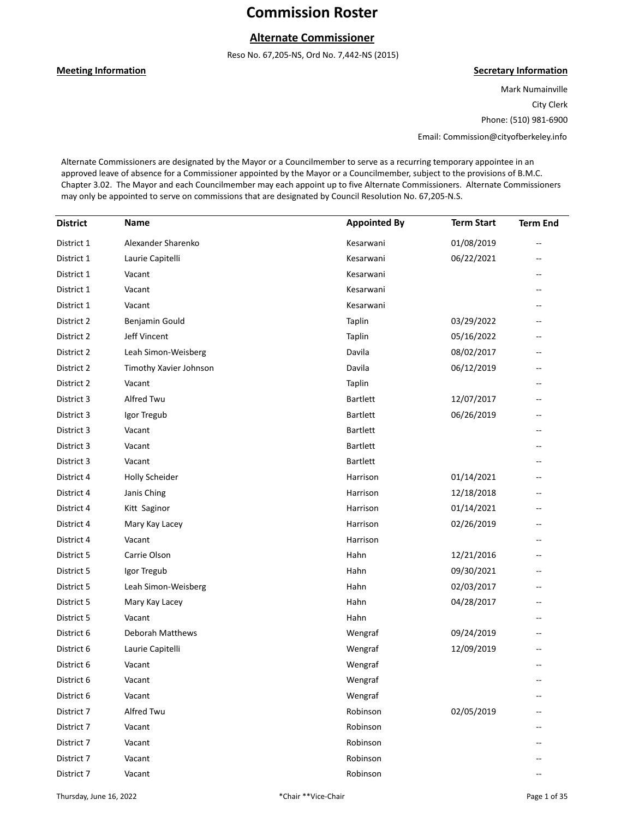## **Alternate Commissioner**

Reso No. 67,205-NS, Ord No. 7,442-NS (2015)

#### **Meeting Information**

#### **Secretary Information**

Mark Numainville City Clerk Phone: (510) 981-6900

Email: Commission@cityofberkeley.info

Alternate Commissioners are designated by the Mayor or a Councilmember to serve as a recurring temporary appointee in an approved leave of absence for a Commissioner appointed by the Mayor or a Councilmember, subject to the provisions of B.M.C. Chapter 3.02. The Mayor and each Councilmember may each appoint up to five Alternate Commissioners. Alternate Commissioners may only be appointed to serve on commissions that are designated by Council Resolution No. 67,205-N.S.

| <b>District</b> | Name                   | <b>Appointed By</b> | <b>Term Start</b> | <b>Term End</b> |
|-----------------|------------------------|---------------------|-------------------|-----------------|
| District 1      | Alexander Sharenko     | Kesarwani           | 01/08/2019        |                 |
| District 1      | Laurie Capitelli       | Kesarwani           | 06/22/2021        |                 |
| District 1      | Vacant                 | Kesarwani           |                   |                 |
| District 1      | Vacant                 | Kesarwani           |                   |                 |
| District 1      | Vacant                 | Kesarwani           |                   |                 |
| District 2      | Benjamin Gould         | Taplin              | 03/29/2022        |                 |
| District 2      | <b>Jeff Vincent</b>    | Taplin              | 05/16/2022        | --              |
| District 2      | Leah Simon-Weisberg    | Davila              | 08/02/2017        |                 |
| District 2      | Timothy Xavier Johnson | Davila              | 06/12/2019        |                 |
| District 2      | Vacant                 | Taplin              |                   | --              |
| District 3      | Alfred Twu             | <b>Bartlett</b>     | 12/07/2017        | --              |
| District 3      | Igor Tregub            | <b>Bartlett</b>     | 06/26/2019        |                 |
| District 3      | Vacant                 | <b>Bartlett</b>     |                   |                 |
| District 3      | Vacant                 | <b>Bartlett</b>     |                   | $-$             |
| District 3      | Vacant                 | <b>Bartlett</b>     |                   | --              |
| District 4      | <b>Holly Scheider</b>  | Harrison            | 01/14/2021        |                 |
| District 4      | Janis Ching            | Harrison            | 12/18/2018        | --              |
| District 4      | Kitt Saginor           | Harrison            | 01/14/2021        | --              |
| District 4      | Mary Kay Lacey         | Harrison            | 02/26/2019        | --              |
| District 4      | Vacant                 | Harrison            |                   |                 |
| District 5      | Carrie Olson           | Hahn                | 12/21/2016        | --              |
| District 5      | Igor Tregub            | Hahn                | 09/30/2021        | --              |
| District 5      | Leah Simon-Weisberg    | Hahn                | 02/03/2017        | --              |
| District 5      | Mary Kay Lacey         | Hahn                | 04/28/2017        |                 |
| District 5      | Vacant                 | Hahn                |                   | --              |
| District 6      | Deborah Matthews       | Wengraf             | 09/24/2019        | --              |
| District 6      | Laurie Capitelli       | Wengraf             | 12/09/2019        |                 |
| District 6      | Vacant                 | Wengraf             |                   |                 |
| District 6      | Vacant                 | Wengraf             |                   |                 |
| District 6      | Vacant                 | Wengraf             |                   |                 |
| District 7      | Alfred Twu             | Robinson            | 02/05/2019        |                 |
| District 7      | Vacant                 | Robinson            |                   |                 |
| District 7      | Vacant                 | Robinson            |                   |                 |
| District 7      | Vacant                 | Robinson            |                   |                 |
| District 7      | Vacant                 | Robinson            |                   |                 |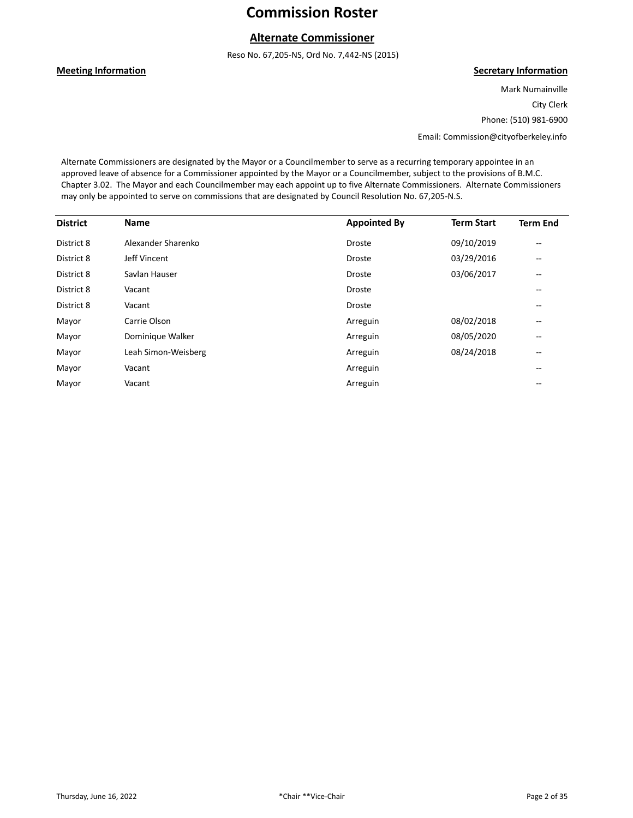## **Alternate Commissioner**

Reso No. 67,205-NS, Ord No. 7,442-NS (2015)

#### **Meeting Information**

#### **Secretary Information**

Mark Numainville City Clerk Phone: (510) 981-6900

Email: Commission@cityofberkeley.info

Alternate Commissioners are designated by the Mayor or a Councilmember to serve as a recurring temporary appointee in an approved leave of absence for a Commissioner appointed by the Mayor or a Councilmember, subject to the provisions of B.M.C. Chapter 3.02. The Mayor and each Councilmember may each appoint up to five Alternate Commissioners. Alternate Commissioners may only be appointed to serve on commissions that are designated by Council Resolution No. 67,205-N.S.

| <b>District</b> | <b>Name</b>         | <b>Appointed By</b> | <b>Term Start</b> | <b>Term End</b>          |
|-----------------|---------------------|---------------------|-------------------|--------------------------|
| District 8      | Alexander Sharenko  | Droste              | 09/10/2019        | $\overline{\phantom{a}}$ |
| District 8      | Jeff Vincent        | <b>Droste</b>       | 03/29/2016        | --                       |
| District 8      | Savlan Hauser       | Droste              | 03/06/2017        | $\overline{\phantom{a}}$ |
| District 8      | Vacant              | <b>Droste</b>       |                   | --                       |
| District 8      | Vacant              | <b>Droste</b>       |                   | $- -$                    |
| Mayor           | Carrie Olson        | Arreguin            | 08/02/2018        | $\qquad \qquad -$        |
| Mayor           | Dominique Walker    | Arreguin            | 08/05/2020        | --                       |
| Mayor           | Leah Simon-Weisberg | Arreguin            | 08/24/2018        | $- -$                    |
| Mayor           | Vacant              | Arreguin            |                   | $- -$                    |
| Mayor           | Vacant              | Arreguin            |                   | $- -$                    |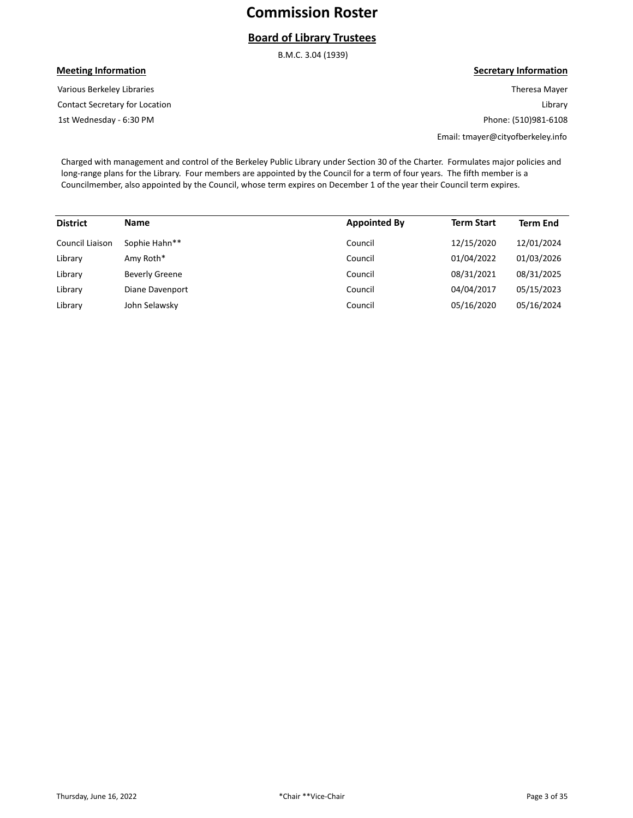## **Board of Library Trustees**

B.M.C. 3.04 (1939)

### **Meeting Information**

Contact Secretary for Location Various Berkeley Libraries

1st Wednesday - 6:30 PM

#### **Secretary Information**

Theresa Mayer Library Phone: (510)981-6108

Email: tmayer@cityofberkeley.info

Charged with management and control of the Berkeley Public Library under Section 30 of the Charter. Formulates major policies and long-range plans for the Library. Four members are appointed by the Council for a term of four years. The fifth member is a Councilmember, also appointed by the Council, whose term expires on December 1 of the year their Council term expires.

| <b>District</b> | <b>Name</b>           | <b>Appointed By</b> | <b>Term Start</b> | <b>Term End</b> |
|-----------------|-----------------------|---------------------|-------------------|-----------------|
| Council Liaison | Sophie Hahn**         | Council             | 12/15/2020        | 12/01/2024      |
| Library         | Amy Roth*             | Council             | 01/04/2022        | 01/03/2026      |
| Library         | <b>Beverly Greene</b> | Council             | 08/31/2021        | 08/31/2025      |
| Library         | Diane Davenport       | Council             | 04/04/2017        | 05/15/2023      |
| Library         | John Selawsky         | Council             | 05/16/2020        | 05/16/2024      |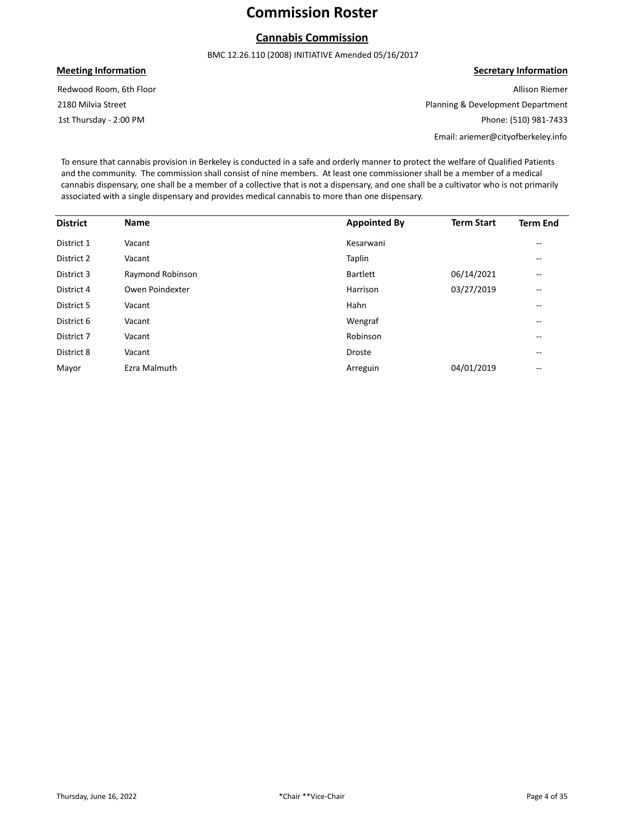## **Cannabis Commission**

BMC 12.26.110 (2008) INITIATIVE Amended 05/16/2017

#### **Meeting Information**

1st Thursday - 2:00 PM 2180 Milvia Street Redwood Room, 6th Floor **Secretary Information** Allison Riemer

Planning & Development Department Phone: (510) 981-7433

Email: ariemer@cityofberkeley.info

To ensure that cannabis provision in Berkeley is conducted in a safe and orderly manner to protect the welfare of Qualified Patients and the community. The commission shall consist of nine members. At least one commissioner shall be a member of a medical cannabis dispensary, one shall be a member of a collective that is not a dispensary, and one shall be a cultivator who is not primarily associated with a single dispensary and provides medical cannabis to more than one dispensary.

| <b>District</b> | <b>Name</b>      | <b>Appointed By</b> | <b>Term Start</b> | <b>Term End</b>          |
|-----------------|------------------|---------------------|-------------------|--------------------------|
|                 |                  |                     |                   |                          |
| District 1      | Vacant           | Kesarwani           |                   | $\overline{\phantom{m}}$ |
| District 2      | Vacant           | Taplin              |                   | --                       |
| District 3      | Raymond Robinson | <b>Bartlett</b>     | 06/14/2021        | $\overline{\phantom{m}}$ |
| District 4      | Owen Poindexter  | Harrison            | 03/27/2019        | $\overline{\phantom{m}}$ |
| District 5      | Vacant           | Hahn                |                   | $\overline{\phantom{m}}$ |
| District 6      | Vacant           | Wengraf             |                   | --                       |
| District 7      | Vacant           | Robinson            |                   | $\overline{\phantom{m}}$ |
| District 8      | Vacant           | <b>Droste</b>       |                   | --                       |
| Mayor           | Ezra Malmuth     | Arreguin            | 04/01/2019        | --                       |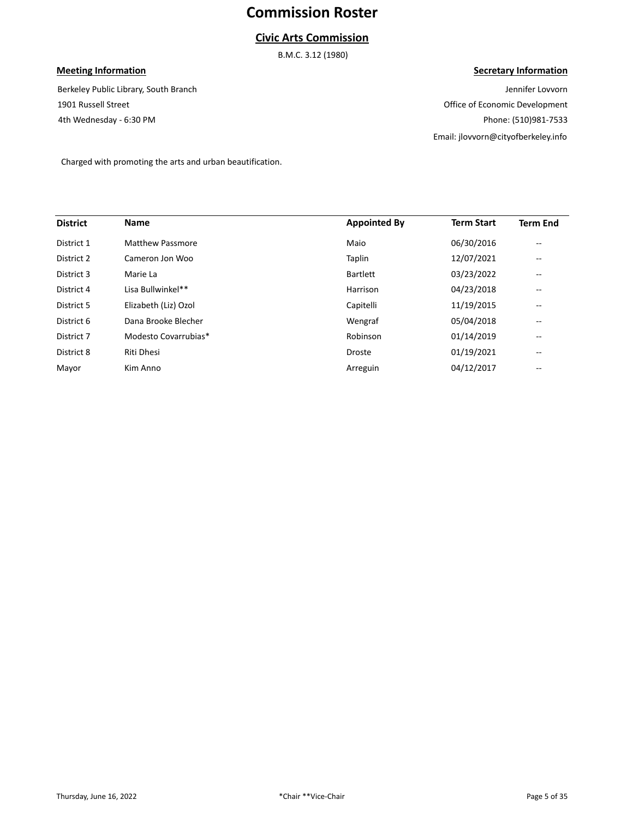### **Civic Arts Commission**

B.M.C. 3.12 (1980)

### **Meeting Information**

4th Wednesday - 6:30 PM 1901 Russell Street Berkeley Public Library, South Branch

#### **Secretary Information**

Jennifer Lovvorn Office of Economic Development Phone: (510)981-7533 Email: jlovvorn@cityofberkeley.info

Charged with promoting the arts and urban beautification.

| <b>District</b> | <b>Name</b>          | <b>Appointed By</b> | <b>Term Start</b> | <b>Term End</b>          |
|-----------------|----------------------|---------------------|-------------------|--------------------------|
| District 1      | Matthew Passmore     | Maio                | 06/30/2016        | $\overline{\phantom{m}}$ |
| District 2      | Cameron Jon Woo      | Taplin              | 12/07/2021        | $\qquad \qquad -$        |
| District 3      | Marie La             | <b>Bartlett</b>     | 03/23/2022        | $- -$                    |
| District 4      | Lisa Bullwinkel**    | Harrison            | 04/23/2018        | $\qquad \qquad -$        |
| District 5      | Elizabeth (Liz) Ozol | Capitelli           | 11/19/2015        | $\qquad \qquad -$        |
| District 6      | Dana Brooke Blecher  | Wengraf             | 05/04/2018        | $\qquad \qquad -$        |
| District 7      | Modesto Covarrubias* | Robinson            | 01/14/2019        | $\qquad \qquad -$        |
| District 8      | Riti Dhesi           | Droste              | 01/19/2021        | $- -$                    |
| Mayor           | Kim Anno             | Arreguin            | 04/12/2017        | --                       |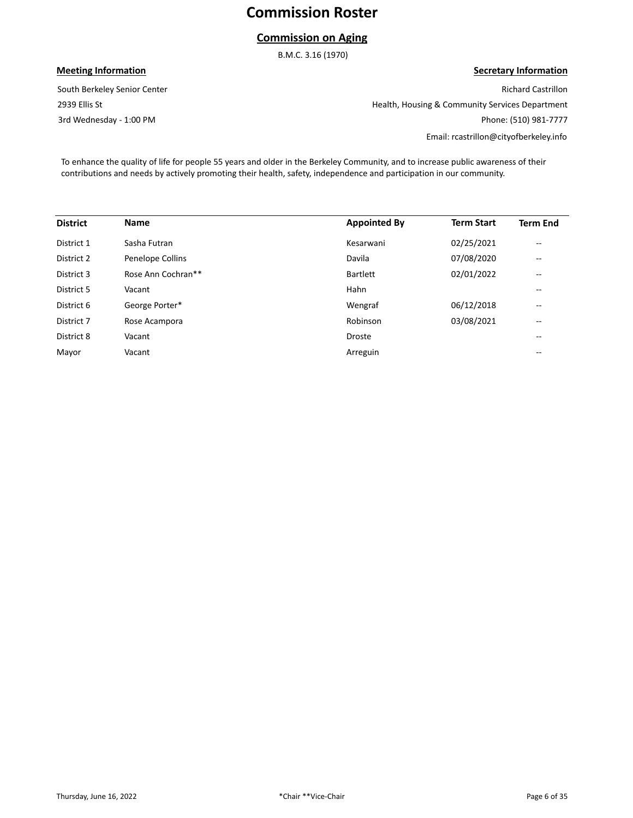### **Commission on Aging**

B.M.C. 3.16 (1970)

### **Meeting Information**

3rd Wednesday - 1:00 PM 2939 Ellis St South Berkeley Senior Center

**Secretary Information** Richard Castrillon Health, Housing & Community Services Department Phone: (510) 981-7777 Email: rcastrillon@cityofberkeley.info

To enhance the quality of life for people 55 years and older in the Berkeley Community, and to increase public awareness of their contributions and needs by actively promoting their health, safety, independence and participation in our community.

| <b>District</b> | <b>Name</b>        | <b>Appointed By</b> | <b>Term Start</b> | <b>Term End</b>          |
|-----------------|--------------------|---------------------|-------------------|--------------------------|
| District 1      | Sasha Futran       | Kesarwani           | 02/25/2021        | $\overline{\phantom{m}}$ |
| District 2      | Penelope Collins   | Davila              | 07/08/2020        | $\overline{\phantom{m}}$ |
| District 3      | Rose Ann Cochran** | <b>Bartlett</b>     | 02/01/2022        | $\qquad \qquad -$        |
| District 5      | Vacant             | Hahn                |                   | $\qquad \qquad -$        |
| District 6      | George Porter*     | Wengraf             | 06/12/2018        | $\overline{\phantom{m}}$ |
| District 7      | Rose Acampora      | Robinson            | 03/08/2021        | $\overline{\phantom{m}}$ |
| District 8      | Vacant             | <b>Droste</b>       |                   | $- -$                    |
| Mayor           | Vacant             | Arreguin            |                   | $- -$                    |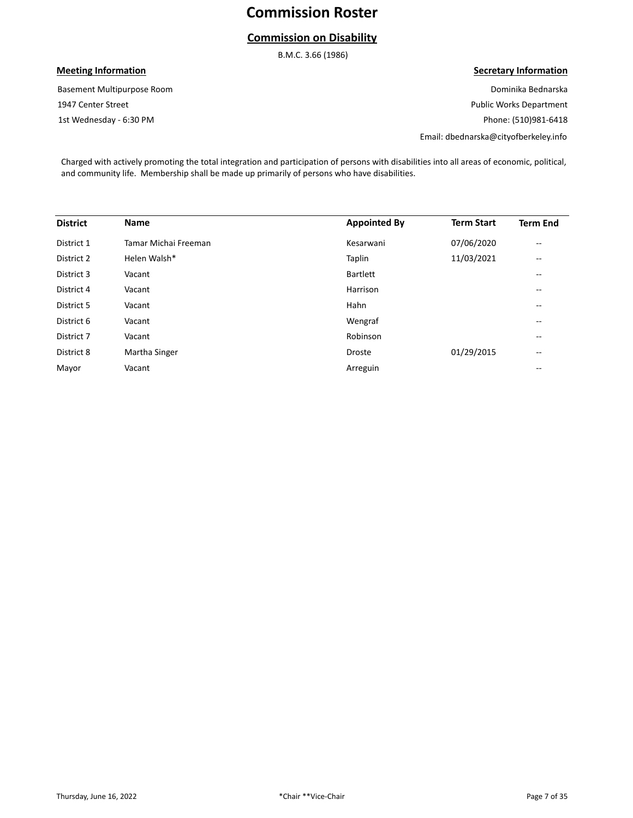## **Commission on Disability**

B.M.C. 3.66 (1986)

### **Meeting Information**

1st Wednesday - 6:30 PM 1947 Center Street Basement Multipurpose Room **Secretary Information**

Dominika Bednarska Public Works Department Phone: (510)981-6418

Email: dbednarska@cityofberkeley.info

Charged with actively promoting the total integration and participation of persons with disabilities into all areas of economic, political, and community life. Membership shall be made up primarily of persons who have disabilities.

| <b>District</b> | <b>Name</b>          | <b>Appointed By</b> | <b>Term Start</b> | <b>Term End</b>                       |
|-----------------|----------------------|---------------------|-------------------|---------------------------------------|
| District 1      | Tamar Michai Freeman | Kesarwani           | 07/06/2020        | $\overline{\phantom{m}}$              |
| District 2      | Helen Walsh*         | Taplin              | 11/03/2021        | $\overline{\phantom{m}}$              |
| District 3      | Vacant               | <b>Bartlett</b>     |                   | $\qquad \qquad -$                     |
| District 4      | Vacant               | Harrison            |                   | $\qquad \qquad -$                     |
| District 5      | Vacant               | Hahn                |                   | $\qquad \qquad -$                     |
| District 6      | Vacant               | Wengraf             |                   | --                                    |
| District 7      | Vacant               | Robinson            |                   | $\overline{\phantom{m}}$              |
| District 8      | Martha Singer        | <b>Droste</b>       | 01/29/2015        | $\hspace{0.05cm}$ – $\hspace{0.05cm}$ |
| Mayor           | Vacant               | Arreguin            |                   | $\overline{\phantom{m}}$              |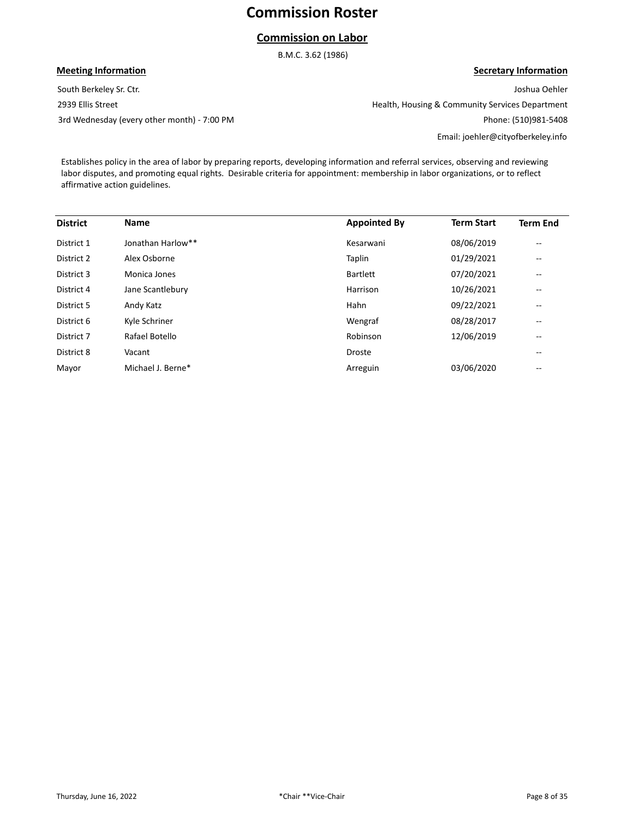## **Commission on Labor**

B.M.C. 3.62 (1986)

## South Berkeley Sr. Ctr. **Meeting Information**

2939 Ellis Street

3rd Wednesday (every other month) - 7:00 PM

**Secretary Information** Joshua Oehler Health, Housing & Community Services Department

Phone: (510)981-5408

Email: joehler@cityofberkeley.info

Establishes policy in the area of labor by preparing reports, developing information and referral services, observing and reviewing labor disputes, and promoting equal rights. Desirable criteria for appointment: membership in labor organizations, or to reflect affirmative action guidelines.

| <b>District</b> | <b>Name</b>       | <b>Appointed By</b> | <b>Term Start</b> | <b>Term End</b>          |
|-----------------|-------------------|---------------------|-------------------|--------------------------|
| District 1      | Jonathan Harlow** | Kesarwani           | 08/06/2019        | $-$                      |
| District 2      | Alex Osborne      | Taplin              | 01/29/2021        | $- -$                    |
| District 3      | Monica Jones      | <b>Bartlett</b>     | 07/20/2021        | $\overline{\phantom{m}}$ |
| District 4      | Jane Scantlebury  | Harrison            | 10/26/2021        | $\overline{\phantom{m}}$ |
| District 5      | Andy Katz         | Hahn                | 09/22/2021        | $\overline{\phantom{m}}$ |
| District 6      | Kyle Schriner     | Wengraf             | 08/28/2017        | --                       |
| District 7      | Rafael Botello    | Robinson            | 12/06/2019        | --                       |
| District 8      | Vacant            | <b>Droste</b>       |                   | --                       |
| Mayor           | Michael J. Berne* | Arreguin            | 03/06/2020        | --                       |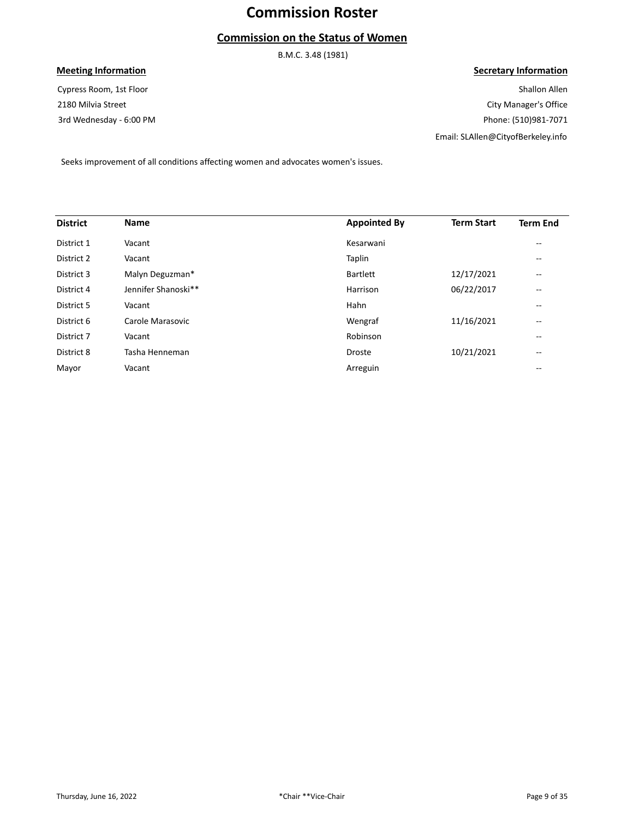## **Commission on the Status of Women**

B.M.C. 3.48 (1981)

### **Meeting Information**

3rd Wednesday - 6:00 PM 2180 Milvia Street Cypress Room, 1st Floor

#### **Secretary Information**

Shallon Allen City Manager's Office Phone: (510)981-7071 Email: SLAllen@CityofBerkeley.info

Seeks improvement of all conditions affecting women and advocates women's issues.

| <b>District</b> | <b>Name</b>         | <b>Appointed By</b> | <b>Term Start</b> | <b>Term End</b>   |
|-----------------|---------------------|---------------------|-------------------|-------------------|
| District 1      | Vacant              | Kesarwani           |                   | $\qquad \qquad -$ |
| District 2      | Vacant              | Taplin              |                   | $- -$             |
| District 3      | Malyn Deguzman*     | <b>Bartlett</b>     | 12/17/2021        | $- -$             |
| District 4      | Jennifer Shanoski** | Harrison            | 06/22/2017        | $\qquad \qquad -$ |
| District 5      | Vacant              | Hahn                |                   | $\qquad \qquad -$ |
| District 6      | Carole Marasovic    | Wengraf             | 11/16/2021        | $\qquad \qquad -$ |
| District 7      | Vacant              | Robinson            |                   | $- -$             |
| District 8      | Tasha Henneman      | <b>Droste</b>       | 10/21/2021        | $- -$             |
| Mayor           | Vacant              | Arreguin            |                   | $- -$             |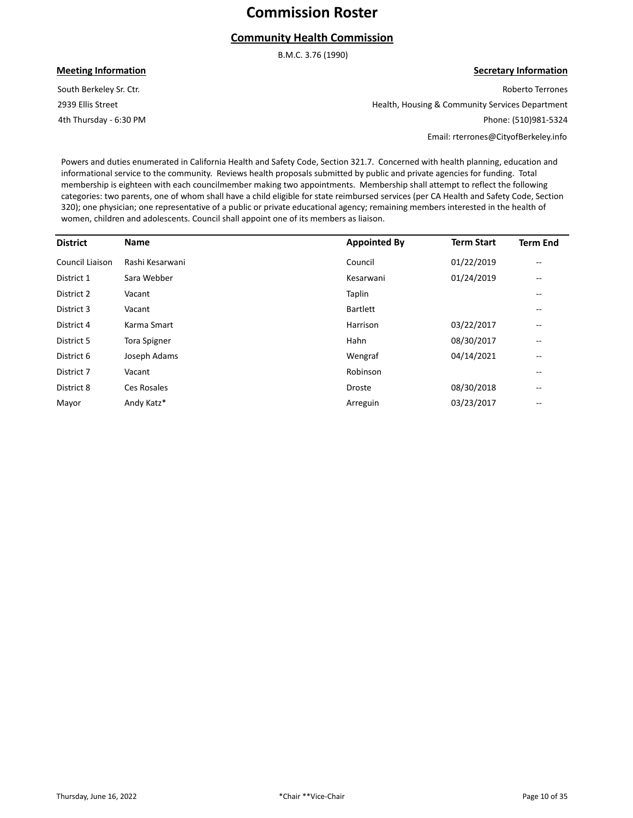## **Community Health Commission**

B.M.C. 3.76 (1990)

#### **Meeting Information**

4th Thursday - 6:30 PM 2939 Ellis Street South Berkeley Sr. Ctr.

**Secretary Information** Roberto Terrones

Health, Housing & Community Services Department Phone: (510)981-5324

Email: rterrones@CityofBerkeley.info

Powers and duties enumerated in California Health and Safety Code, Section 321.7. Concerned with health planning, education and informational service to the community. Reviews health proposals submitted by public and private agencies for funding. Total membership is eighteen with each councilmember making two appointments. Membership shall attempt to reflect the following categories: two parents, one of whom shall have a child eligible for state reimbursed services (per CA Health and Safety Code, Section 320); one physician; one representative of a public or private educational agency; remaining members interested in the health of women, children and adolescents. Council shall appoint one of its members as liaison.

| <b>District</b> | <b>Name</b>     | <b>Appointed By</b> | <b>Term Start</b> | <b>Term End</b>                       |
|-----------------|-----------------|---------------------|-------------------|---------------------------------------|
| Council Liaison | Rashi Kesarwani | Council             | 01/22/2019        | --                                    |
| District 1      | Sara Webber     | Kesarwani           | 01/24/2019        | $\qquad \qquad -$                     |
| District 2      | Vacant          | Taplin              |                   | --                                    |
| District 3      | Vacant          | <b>Bartlett</b>     |                   | $- -$                                 |
| District 4      | Karma Smart     | Harrison            | 03/22/2017        | --                                    |
| District 5      | Tora Spigner    | Hahn                | 08/30/2017        | $\qquad \qquad -$                     |
| District 6      | Joseph Adams    | Wengraf             | 04/14/2021        | $\hspace{0.05cm}$ – $\hspace{0.05cm}$ |
| District 7      | Vacant          | Robinson            |                   | --                                    |
| District 8      | Ces Rosales     | Droste              | 08/30/2018        | $\overline{\phantom{m}}$              |
| Mayor           | Andy Katz*      | Arreguin            | 03/23/2017        | --                                    |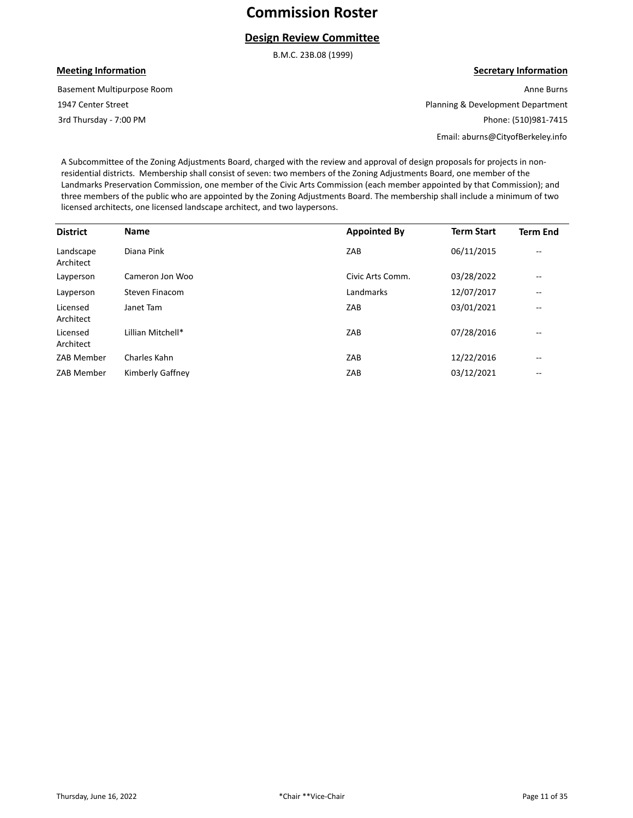### **Design Review Committee**

B.M.C. 23B.08 (1999)

#### **Meeting Information**

3rd Thursday - 7:00 PM 1947 Center Street Basement Multipurpose Room **Secretary Information**

Anne Burns Planning & Development Department Phone: (510)981-7415 Email: aburns@CityofBerkeley.info

A Subcommittee of the Zoning Adjustments Board, charged with the review and approval of design proposals for projects in nonresidential districts. Membership shall consist of seven: two members of the Zoning Adjustments Board, one member of the Landmarks Preservation Commission, one member of the Civic Arts Commission (each member appointed by that Commission); and three members of the public who are appointed by the Zoning Adjustments Board. The membership shall include a minimum of two licensed architects, one licensed landscape architect, and two laypersons.

| <b>District</b>        | <b>Name</b>       | <b>Appointed By</b> | <b>Term Start</b> | <b>Term End</b>          |
|------------------------|-------------------|---------------------|-------------------|--------------------------|
| Landscape<br>Architect | Diana Pink        | ZAB                 | 06/11/2015        | $- -$                    |
| Layperson              | Cameron Jon Woo   | Civic Arts Comm.    | 03/28/2022        | $\overline{\phantom{m}}$ |
| Layperson              | Steven Finacom    | Landmarks           | 12/07/2017        | $\overline{\phantom{m}}$ |
| Licensed<br>Architect  | Janet Tam         | ZAB                 | 03/01/2021        | $\qquad \qquad -$        |
| Licensed<br>Architect  | Lillian Mitchell* | ZAB                 | 07/28/2016        | $- -$                    |
| ZAB Member             | Charles Kahn      | ZAB                 | 12/22/2016        | $\qquad \qquad -$        |
| ZAB Member             | Kimberly Gaffney  | ZAB                 | 03/12/2021        | $\overline{\phantom{m}}$ |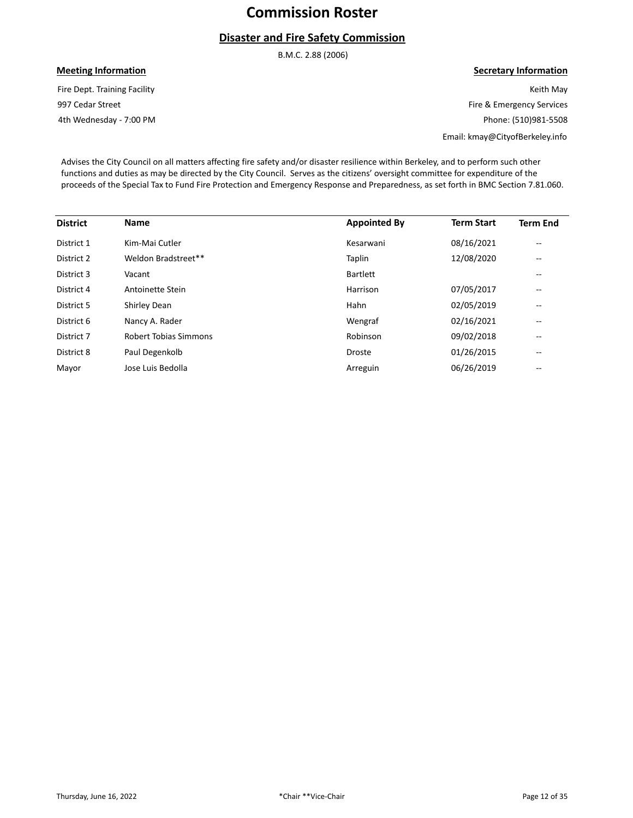## **Disaster and Fire Safety Commission**

B.M.C. 2.88 (2006)

## **Meeting Information**

4th Wednesday - 7:00 PM 997 Cedar Street Fire Dept. Training Facility

#### **Secretary Information**

Keith May Fire & Emergency Services Phone: (510)981-5508

Email: kmay@CityofBerkeley.info

Advises the City Council on all matters affecting fire safety and/or disaster resilience within Berkeley, and to perform such other functions and duties as may be directed by the City Council. Serves as the citizens' oversight committee for expenditure of the proceeds of the Special Tax to Fund Fire Protection and Emergency Response and Preparedness, as set forth in BMC Section 7.81.060.

| <b>District</b> | <b>Name</b>           | <b>Appointed By</b> | <b>Term Start</b> | <b>Term End</b>                       |
|-----------------|-----------------------|---------------------|-------------------|---------------------------------------|
| District 1      | Kim-Mai Cutler        | Kesarwani           | 08/16/2021        | $\qquad \qquad -$                     |
| District 2      | Weldon Bradstreet**   | Taplin              | 12/08/2020        | $\qquad \qquad -$                     |
| District 3      | Vacant                | <b>Bartlett</b>     |                   | $\hspace{0.05cm}$ – $\hspace{0.05cm}$ |
| District 4      | Antoinette Stein      | Harrison            | 07/05/2017        | $\hspace{0.05cm}$ – $\hspace{0.05cm}$ |
| District 5      | Shirley Dean          | Hahn                | 02/05/2019        | --                                    |
| District 6      | Nancy A. Rader        | Wengraf             | 02/16/2021        | --                                    |
| District 7      | Robert Tobias Simmons | Robinson            | 09/02/2018        | --                                    |
| District 8      | Paul Degenkolb        | <b>Droste</b>       | 01/26/2015        | $\overline{\phantom{m}}$              |
| Mayor           | Jose Luis Bedolla     | Arreguin            | 06/26/2019        | $\hspace{0.05cm}$ – $\hspace{0.05cm}$ |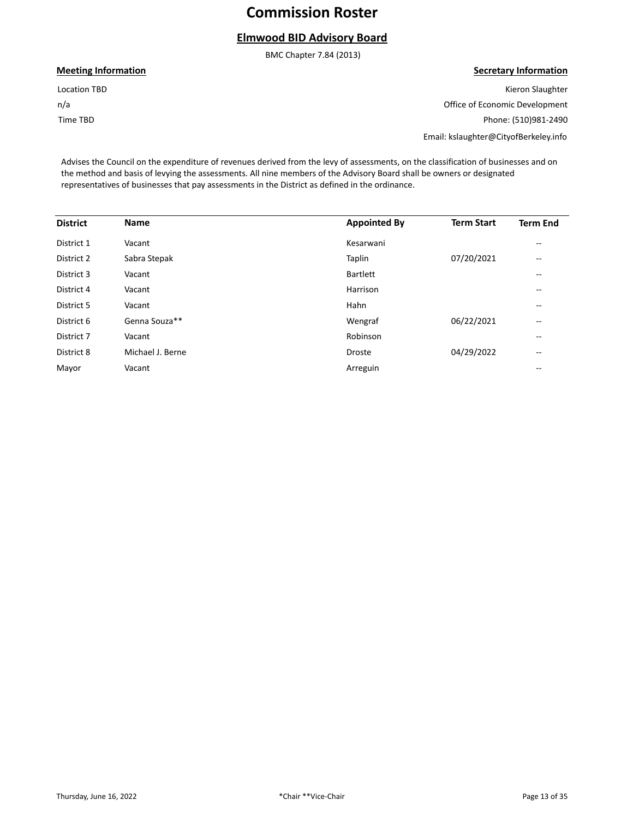## **Elmwood BID Advisory Board**

BMC Chapter 7.84 (2013)

**Meeting Information**

Time TBD n/a Location TBD

#### **Secretary Information**

Kieron Slaughter Office of Economic Development Phone: (510)981-2490 Email: kslaughter@CityofBerkeley.info

Advises the Council on the expenditure of revenues derived from the levy of assessments, on the classification of businesses and on the method and basis of levying the assessments. All nine members of the Advisory Board shall be owners or designated representatives of businesses that pay assessments in the District as defined in the ordinance.

| <b>District</b> | <b>Name</b>      | <b>Appointed By</b> | <b>Term Start</b> | <b>Term End</b>   |
|-----------------|------------------|---------------------|-------------------|-------------------|
| District 1      | Vacant           | Kesarwani           |                   | $- -$             |
| District 2      | Sabra Stepak     | Taplin              | 07/20/2021        | --                |
| District 3      | Vacant           | <b>Bartlett</b>     |                   | --                |
| District 4      | Vacant           | Harrison            |                   | --                |
| District 5      | Vacant           | Hahn                |                   | --                |
| District 6      | Genna Souza**    | Wengraf             | 06/22/2021        | $- -$             |
| District 7      | Vacant           | Robinson            |                   | $- -$             |
| District 8      | Michael J. Berne | Droste              | 04/29/2022        | $\qquad \qquad -$ |
| Mayor           | Vacant           | Arreguin            |                   | --                |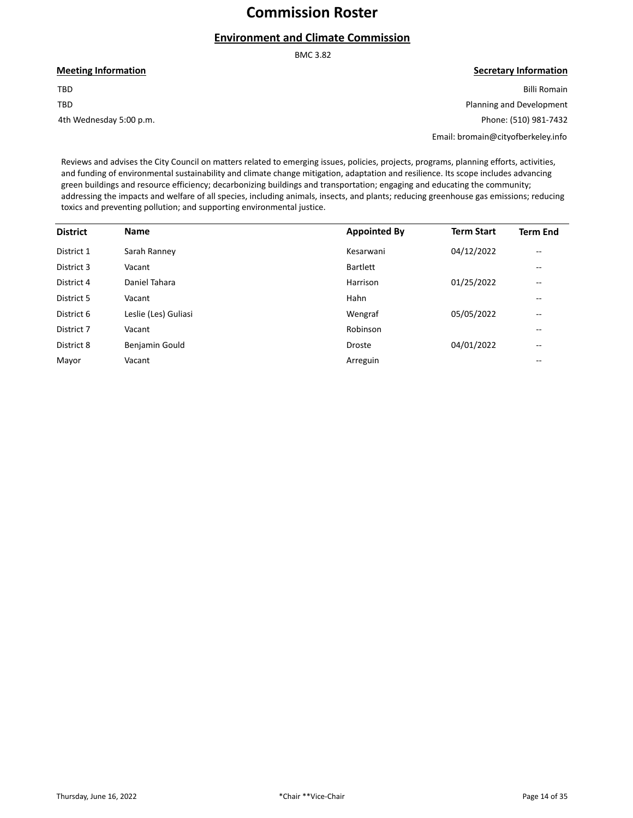## **Environment and Climate Commission**

BMC 3.82

**Meeting Information**

TBD TBD

4th Wednesday 5:00 p.m.

#### **Secretary Information**

Billi Romain Planning and Development Phone: (510) 981-7432

Email: bromain@cityofberkeley.info

Reviews and advises the City Council on matters related to emerging issues, policies, projects, programs, planning efforts, activities, and funding of environmental sustainability and climate change mitigation, adaptation and resilience. Its scope includes advancing green buildings and resource efficiency; decarbonizing buildings and transportation; engaging and educating the community; addressing the impacts and welfare of all species, including animals, insects, and plants; reducing greenhouse gas emissions; reducing toxics and preventing pollution; and supporting environmental justice.

| <b>District</b> | <b>Name</b>          | <b>Appointed By</b> | <b>Term Start</b> | <b>Term End</b>          |
|-----------------|----------------------|---------------------|-------------------|--------------------------|
| District 1      | Sarah Ranney         | Kesarwani           | 04/12/2022        | $\overline{\phantom{m}}$ |
| District 3      | Vacant               | <b>Bartlett</b>     |                   | $\qquad \qquad -$        |
| District 4      | Daniel Tahara        | Harrison            | 01/25/2022        | $\overline{\phantom{m}}$ |
| District 5      | Vacant               | Hahn                |                   | $- -$                    |
| District 6      | Leslie (Les) Guliasi | Wengraf             | 05/05/2022        | $\overline{\phantom{m}}$ |
| District 7      | Vacant               | Robinson            |                   | $\qquad \qquad -$        |
| District 8      | Benjamin Gould       | <b>Droste</b>       | 04/01/2022        | $\overline{\phantom{m}}$ |
| Mayor           | Vacant               | Arreguin            |                   | $- -$                    |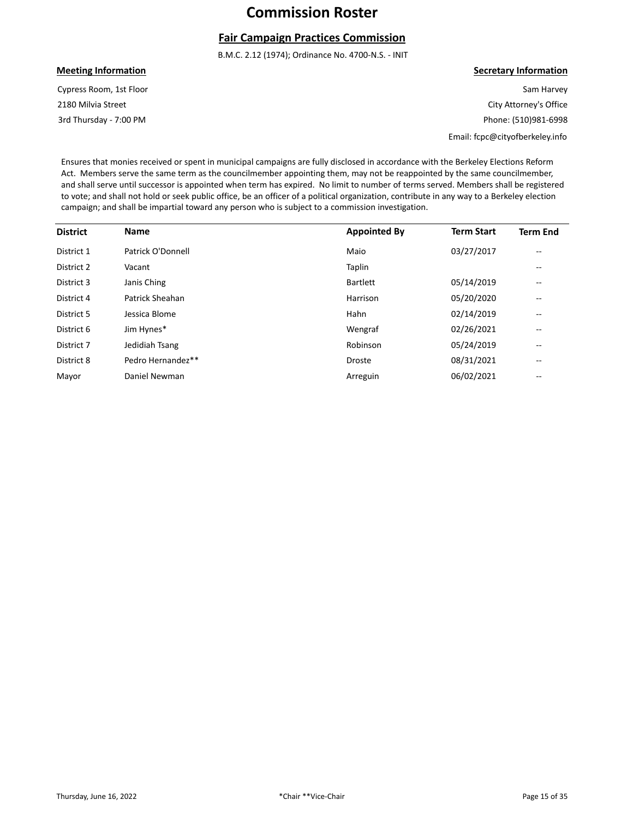## **Fair Campaign Practices Commission**

B.M.C. 2.12 (1974); Ordinance No. 4700-N.S. - INIT

#### **Meeting Information**

3rd Thursday - 7:00 PM 2180 Milvia Street Cypress Room, 1st Floor

#### **Secretary Information**

Sam Harvey City Attorney's Office Phone: (510)981-6998

Email: fcpc@cityofberkeley.info

Ensures that monies received or spent in municipal campaigns are fully disclosed in accordance with the Berkeley Elections Reform Act. Members serve the same term as the councilmember appointing them, may not be reappointed by the same councilmember, and shall serve until successor is appointed when term has expired. No limit to number of terms served. Members shall be registered to vote; and shall not hold or seek public office, be an officer of a political organization, contribute in any way to a Berkeley election campaign; and shall be impartial toward any person who is subject to a commission investigation.

| <b>District</b> | <b>Name</b>       | <b>Appointed By</b> | <b>Term Start</b> | <b>Term End</b>          |
|-----------------|-------------------|---------------------|-------------------|--------------------------|
| District 1      | Patrick O'Donnell | Maio                | 03/27/2017        | $\overline{\phantom{m}}$ |
| District 2      | Vacant            | Taplin              |                   | $\overline{\phantom{m}}$ |
| District 3      | Janis Ching       | <b>Bartlett</b>     | 05/14/2019        | $- -$                    |
| District 4      | Patrick Sheahan   | Harrison            | 05/20/2020        | $\qquad \qquad -$        |
| District 5      | Jessica Blome     | Hahn                | 02/14/2019        | $- -$                    |
| District 6      | Jim Hynes*        | Wengraf             | 02/26/2021        | $\overline{\phantom{m}}$ |
| District 7      | Jedidiah Tsang    | Robinson            | 05/24/2019        | $\qquad \qquad -$        |
| District 8      | Pedro Hernandez** | <b>Droste</b>       | 08/31/2021        | $- -$                    |
| Mayor           | Daniel Newman     | Arreguin            | 06/02/2021        | $- -$                    |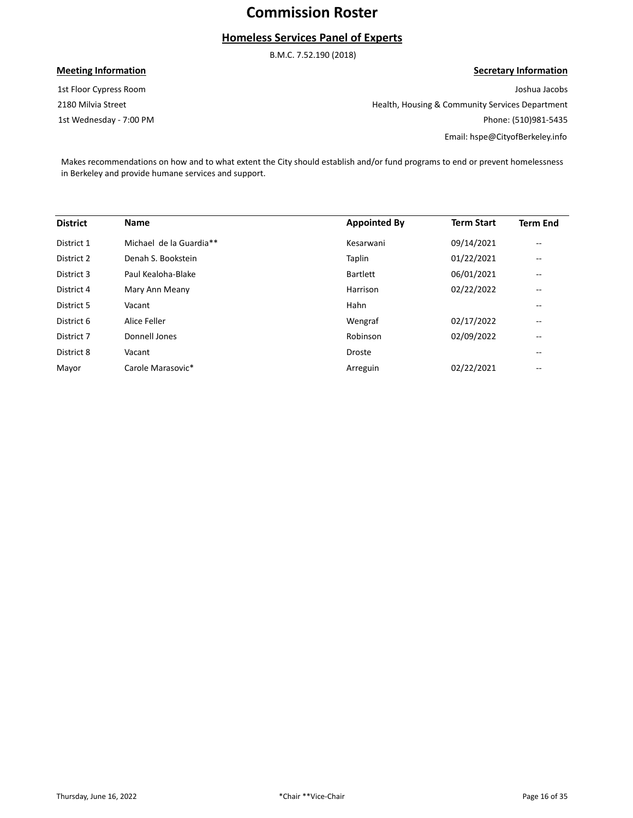## **Homeless Services Panel of Experts**

B.M.C. 7.52.190 (2018)

### **Meeting Information**

1st Wednesday - 7:00 PM 2180 Milvia Street 1st Floor Cypress Room

**Secretary Information**

Joshua Jacobs Health, Housing & Community Services Department Phone: (510)981-5435 Email: hspe@CityofBerkeley.info

Makes recommendations on how and to what extent the City should establish and/or fund programs to end or prevent homelessness in Berkeley and provide humane services and support.

| <b>District</b> | <b>Name</b>             | <b>Appointed By</b> | <b>Term Start</b> | <b>Term End</b>                       |
|-----------------|-------------------------|---------------------|-------------------|---------------------------------------|
| District 1      | Michael de la Guardia** | Kesarwani           | 09/14/2021        | $\qquad \qquad -$                     |
| District 2      | Denah S. Bookstein      | Taplin              | 01/22/2021        | $\hspace{0.05cm}$ – $\hspace{0.05cm}$ |
| District 3      | Paul Kealoha-Blake      | Bartlett            | 06/01/2021        | $\hspace{0.05cm}$ – $\hspace{0.05cm}$ |
| District 4      | Mary Ann Meany          | Harrison            | 02/22/2022        | $\hspace{0.05cm}$ – $\hspace{0.05cm}$ |
| District 5      | Vacant                  | Hahn                |                   | $\hspace{0.05cm}$ – $\hspace{0.05cm}$ |
| District 6      | Alice Feller            | Wengraf             | 02/17/2022        | --                                    |
| District 7      | Donnell Jones           | Robinson            | 02/09/2022        | --                                    |
| District 8      | Vacant                  | <b>Droste</b>       |                   | --                                    |
| Mayor           | Carole Marasovic*       | Arreguin            | 02/22/2021        | $\hspace{0.05cm}$ – $\hspace{0.05cm}$ |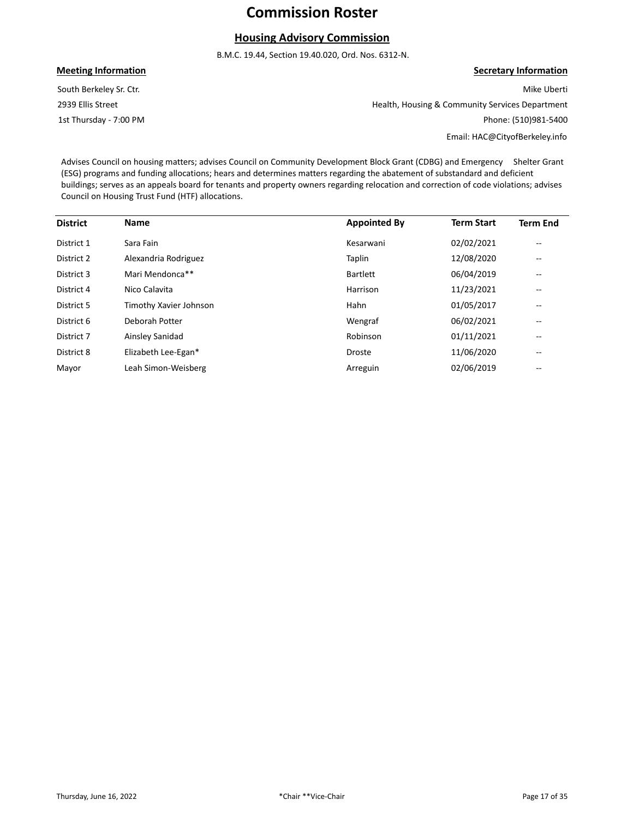## **Housing Advisory Commission**

B.M.C. 19.44, Section 19.40.020, Ord. Nos. 6312-N.

#### **Meeting Information**

1st Thursday - 7:00 PM 2939 Ellis Street South Berkeley Sr. Ctr.

## **Secretary Information**

Mike Uberti Health, Housing & Community Services Department Phone: (510)981-5400

Email: HAC@CityofBerkeley.info

Advises Council on housing matters; advises Council on Community Development Block Grant (CDBG) and Emergency Shelter Grant (ESG) programs and funding allocations; hears and determines matters regarding the abatement of substandard and deficient buildings; serves as an appeals board for tenants and property owners regarding relocation and correction of code violations; advises Council on Housing Trust Fund (HTF) allocations.

| <b>District</b> | <b>Name</b>            | <b>Appointed By</b> | <b>Term Start</b> | <b>Term End</b>                       |
|-----------------|------------------------|---------------------|-------------------|---------------------------------------|
| District 1      | Sara Fain              | Kesarwani           | 02/02/2021        | --                                    |
| District 2      | Alexandria Rodriguez   | Taplin              | 12/08/2020        | --                                    |
| District 3      | Mari Mendonca**        | <b>Bartlett</b>     | 06/04/2019        | $\hspace{0.05cm}$ – $\hspace{0.05cm}$ |
| District 4      | Nico Calavita          | Harrison            | 11/23/2021        | $\hspace{0.05cm}$ – $\hspace{0.05cm}$ |
| District 5      | Timothy Xavier Johnson | Hahn                | 01/05/2017        | $\hspace{0.05cm}$ – $\hspace{0.05cm}$ |
| District 6      | Deborah Potter         | Wengraf             | 06/02/2021        | --                                    |
| District 7      | Ainsley Sanidad        | Robinson            | 01/11/2021        | --                                    |
| District 8      | Elizabeth Lee-Egan*    | <b>Droste</b>       | 11/06/2020        | $\overline{\phantom{m}}$              |
| Mayor           | Leah Simon-Weisberg    | Arreguin            | 02/06/2019        | $\hspace{0.05cm}$ – $\hspace{0.05cm}$ |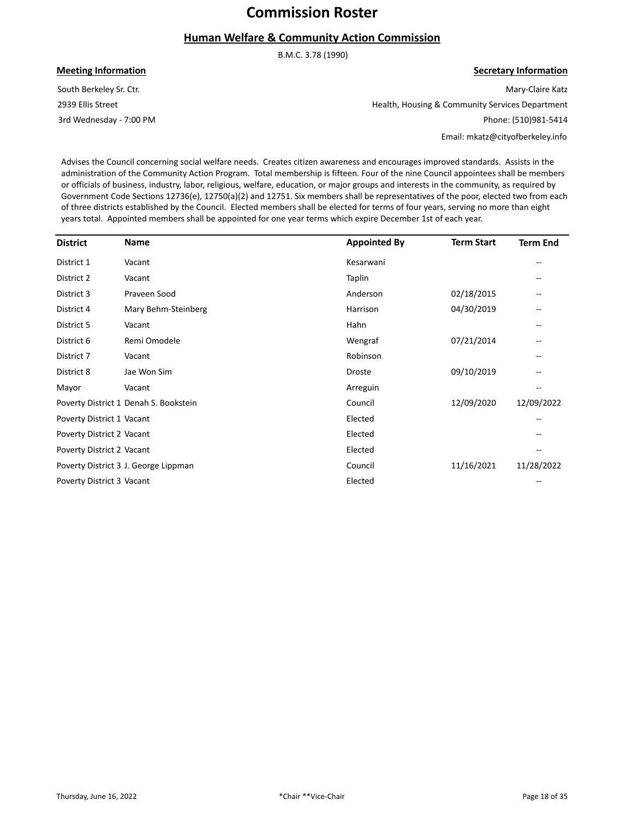## **Human Welfare & Community Action Commission**

B.M.C. 3.78 (1990)

**Meeting Information**

3rd Wednesday - 7:00 PM 2939 Ellis Street South Berkeley Sr. Ctr.

Mary-Claire Katz Health, Housing & Community Services Department Phone: (510)981-5414

Email: mkatz@cityofberkeley.info

**Secretary Information**

Advises the Council concerning social welfare needs. Creates citizen awareness and encourages improved standards. Assists in the administration of the Community Action Program. Total membership is fifteen. Four of the nine Council appointees shall be members or officials of business, industry, labor, religious, welfare, education, or major groups and interests in the community, as required by Government Code Sections 12736(e), 12750(a)(2) and 12751. Six members shall be representatives of the poor, elected two from each of three districts established by the Council. Elected members shall be elected for terms of four years, serving no more than eight years total. Appointed members shall be appointed for one year terms which expire December 1st of each year.

| <b>District</b>           | Name                                  | <b>Appointed By</b> | <b>Term Start</b> | <b>Term End</b> |
|---------------------------|---------------------------------------|---------------------|-------------------|-----------------|
| District 1                | Vacant                                | Kesarwani           |                   |                 |
| District 2                | Vacant                                | Taplin              |                   |                 |
| District 3                | Praveen Sood                          | Anderson            | 02/18/2015        |                 |
| District 4                | Mary Behm-Steinberg                   | Harrison            | 04/30/2019        |                 |
| District 5                | Vacant                                | Hahn                |                   |                 |
| District 6                | Remi Omodele                          | Wengraf             | 07/21/2014        |                 |
| District 7                | Vacant                                | Robinson            |                   |                 |
| District 8                | Jae Won Sim                           | Droste              | 09/10/2019        |                 |
| Mayor                     | Vacant                                | Arreguin            |                   |                 |
|                           | Poverty District 1 Denah S. Bookstein | Council             | 12/09/2020        | 12/09/2022      |
| Poverty District 1 Vacant |                                       | Elected             |                   |                 |
| Poverty District 2 Vacant |                                       | Elected             |                   |                 |
| Poverty District 2 Vacant |                                       | Elected             |                   |                 |
|                           | Poverty District 3 J. George Lippman  | Council             | 11/16/2021        | 11/28/2022      |
| Poverty District 3 Vacant |                                       | Elected             |                   |                 |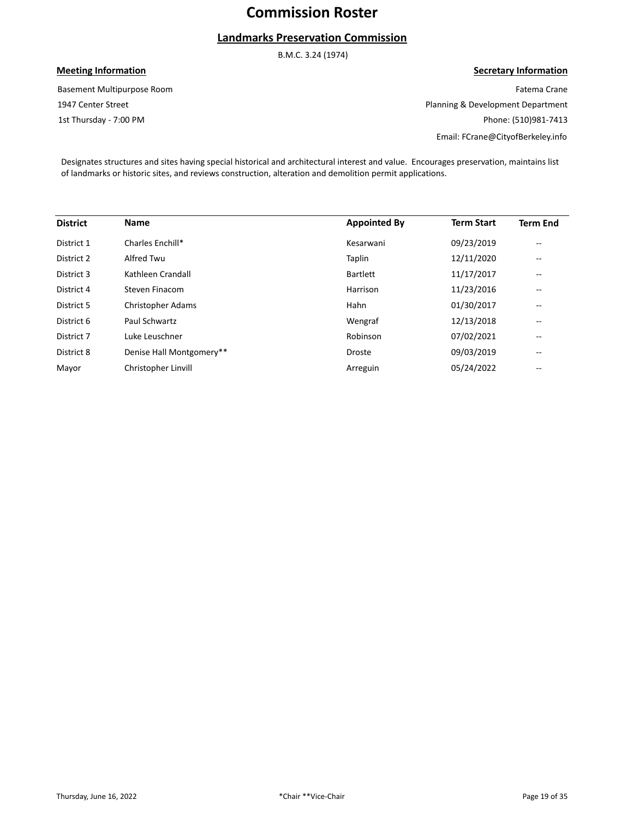## **Landmarks Preservation Commission**

B.M.C. 3.24 (1974)

### **Meeting Information**

1st Thursday - 7:00 PM 1947 Center Street Basement Multipurpose Room

**Secretary Information** Fatema Crane Planning & Development Department Phone: (510)981-7413

Email: FCrane@CityofBerkeley.info

Designates structures and sites having special historical and architectural interest and value. Encourages preservation, maintains list of landmarks or historic sites, and reviews construction, alteration and demolition permit applications.

| <b>District</b> | <b>Name</b>              | <b>Appointed By</b> | <b>Term Start</b> | <b>Term End</b>                       |
|-----------------|--------------------------|---------------------|-------------------|---------------------------------------|
| District 1      | Charles Enchill*         | Kesarwani           | 09/23/2019        | $-$                                   |
| District 2      | Alfred Twu               | Taplin              | 12/11/2020        | $- -$                                 |
| District 3      | Kathleen Crandall        | <b>Bartlett</b>     | 11/17/2017        | $\hspace{0.05cm}$ – $\hspace{0.05cm}$ |
| District 4      | Steven Finacom           | Harrison            | 11/23/2016        | $\hspace{0.05cm}$ – $\hspace{0.05cm}$ |
| District 5      | Christopher Adams        | Hahn                | 01/30/2017        | $\hspace{0.05cm}$ – $\hspace{0.05cm}$ |
| District 6      | Paul Schwartz            | Wengraf             | 12/13/2018        | --                                    |
| District 7      | Luke Leuschner           | Robinson            | 07/02/2021        | --                                    |
| District 8      | Denise Hall Montgomery** | <b>Droste</b>       | 09/03/2019        | --                                    |
| Mayor           | Christopher Linvill      | Arreguin            | 05/24/2022        | $- -$                                 |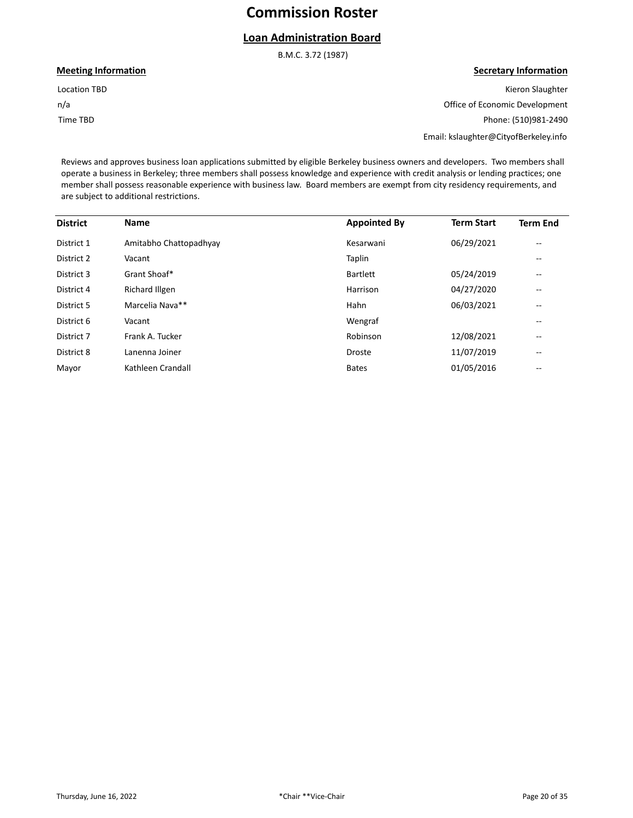## **Loan Administration Board**

B.M.C. 3.72 (1987)

#### **Meeting Information**

n/a Location TBD

Time TBD

## **Secretary Information**

Kieron Slaughter Office of Economic Development Phone: (510)981-2490

Email: kslaughter@CityofBerkeley.info

Reviews and approves business loan applications submitted by eligible Berkeley business owners and developers. Two members shall operate a business in Berkeley; three members shall possess knowledge and experience with credit analysis or lending practices; one member shall possess reasonable experience with business law. Board members are exempt from city residency requirements, and are subject to additional restrictions.

| <b>District</b> | <b>Name</b>            | <b>Appointed By</b> | <b>Term Start</b> | <b>Term End</b>          |
|-----------------|------------------------|---------------------|-------------------|--------------------------|
| District 1      | Amitabho Chattopadhyay | Kesarwani           | 06/29/2021        | $\overline{\phantom{a}}$ |
| District 2      | Vacant                 | Taplin              |                   | --                       |
| District 3      | Grant Shoaf*           | <b>Bartlett</b>     | 05/24/2019        | $\overline{\phantom{a}}$ |
| District 4      | <b>Richard Illgen</b>  | Harrison            | 04/27/2020        | $\overline{\phantom{a}}$ |
| District 5      | Marcelia Nava**        | Hahn                | 06/03/2021        | $- -$                    |
| District 6      | Vacant                 | Wengraf             |                   | $- -$                    |
| District 7      | Frank A. Tucker        | Robinson            | 12/08/2021        | --                       |
| District 8      | Lanenna Joiner         | <b>Droste</b>       | 11/07/2019        | --                       |
| Mayor           | Kathleen Crandall      | <b>Bates</b>        | 01/05/2016        | $- -$                    |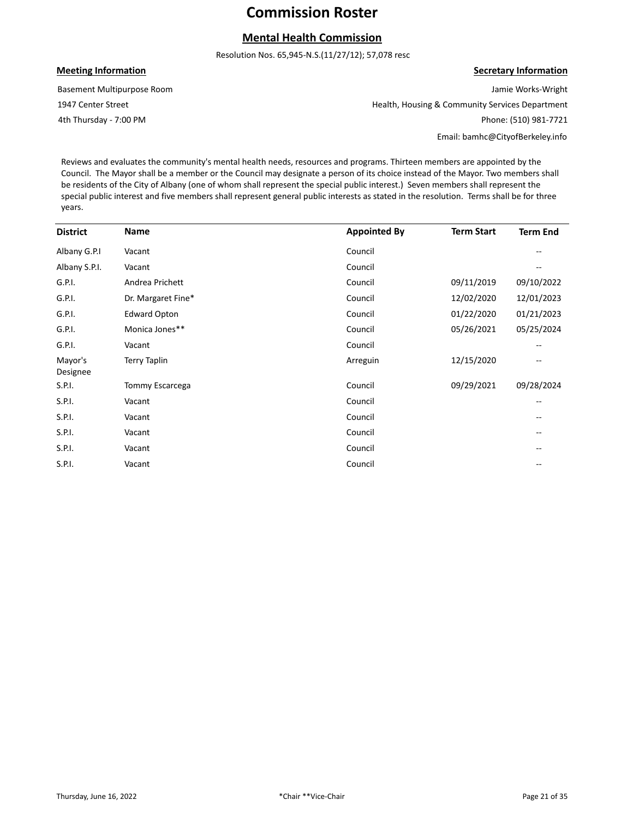## **Mental Health Commission**

Resolution Nos. 65,945-N.S.(11/27/12); 57,078 resc

#### **Meeting Information**

Basement Multipurpose Room

1947 Center Street

4th Thursday - 7:00 PM

Jamie Works-Wright Health, Housing & Community Services Department Phone: (510) 981-7721

Email: bamhc@CityofBerkeley.info

**Secretary Information**

Reviews and evaluates the community's mental health needs, resources and programs. Thirteen members are appointed by the Council. The Mayor shall be a member or the Council may designate a person of its choice instead of the Mayor. Two members shall be residents of the City of Albany (one of whom shall represent the special public interest.) Seven members shall represent the special public interest and five members shall represent general public interests as stated in the resolution. Terms shall be for three years.

| <b>District</b>     | <b>Name</b>         | <b>Appointed By</b> | <b>Term Start</b> | <b>Term End</b> |
|---------------------|---------------------|---------------------|-------------------|-----------------|
| Albany G.P.I        | Vacant              | Council             |                   |                 |
| Albany S.P.I.       | Vacant              | Council             |                   |                 |
| G.P.I.              | Andrea Prichett     | Council             | 09/11/2019        | 09/10/2022      |
| G.P.I.              | Dr. Margaret Fine*  | Council             | 12/02/2020        | 12/01/2023      |
| G.P.I.              | <b>Edward Opton</b> | Council             | 01/22/2020        | 01/21/2023      |
| G.P.I.              | Monica Jones**      | Council             | 05/26/2021        | 05/25/2024      |
| G.P.I.              | Vacant              | Council             |                   |                 |
| Mayor's<br>Designee | <b>Terry Taplin</b> | Arreguin            | 12/15/2020        | --              |
| S.P.I.              | Tommy Escarcega     | Council             | 09/29/2021        | 09/28/2024      |
| S.P.I.              | Vacant              | Council             |                   | --              |
| S.P.I.              | Vacant              | Council             |                   |                 |
| S.P.I.              | Vacant              | Council             |                   |                 |
| S.P.I.              | Vacant              | Council             |                   |                 |
| S.P.I.              | Vacant              | Council             |                   |                 |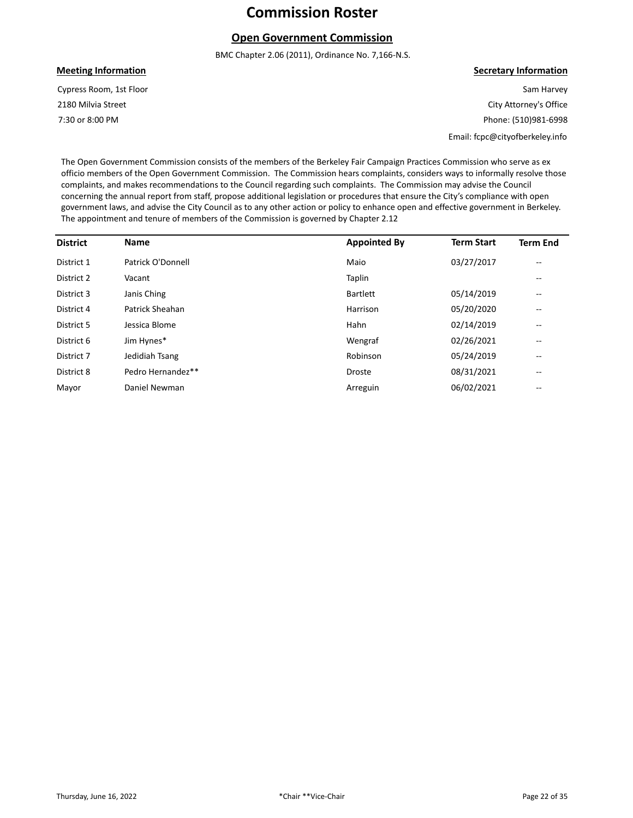### **Open Government Commission**

BMC Chapter 2.06 (2011), Ordinance No. 7,166-N.S.

#### **Meeting Information**

7:30 or 8:00 PM 2180 Milvia Street Cypress Room, 1st Floor **Secretary Information**

Sam Harvey City Attorney's Office Phone: (510)981-6998

Email: fcpc@cityofberkeley.info

The Open Government Commission consists of the members of the Berkeley Fair Campaign Practices Commission who serve as ex officio members of the Open Government Commission. The Commission hears complaints, considers ways to informally resolve those complaints, and makes recommendations to the Council regarding such complaints. The Commission may advise the Council concerning the annual report from staff, propose additional legislation or procedures that ensure the City's compliance with open government laws, and advise the City Council as to any other action or policy to enhance open and effective government in Berkeley. The appointment and tenure of members of the Commission is governed by Chapter 2.12

| <b>District</b> | <b>Name</b>       | <b>Appointed By</b> | <b>Term Start</b> | <b>Term End</b>                       |
|-----------------|-------------------|---------------------|-------------------|---------------------------------------|
| District 1      | Patrick O'Donnell | Maio                | 03/27/2017        | $\qquad \qquad -$                     |
| District 2      | Vacant            | Taplin              |                   | $- -$                                 |
| District 3      | Janis Ching       | <b>Bartlett</b>     | 05/14/2019        | $\overline{\phantom{m}}$              |
| District 4      | Patrick Sheahan   | Harrison            | 05/20/2020        | $\qquad \qquad -$                     |
| District 5      | Jessica Blome     | Hahn                | 02/14/2019        | $\hspace{0.05cm}$ – $\hspace{0.05cm}$ |
| District 6      | Jim Hynes*        | Wengraf             | 02/26/2021        | $\qquad \qquad -$                     |
| District 7      | Jedidiah Tsang    | Robinson            | 05/24/2019        | --                                    |
| District 8      | Pedro Hernandez** | Droste              | 08/31/2021        | $- -$                                 |
| Mayor           | Daniel Newman     | Arreguin            | 06/02/2021        | --                                    |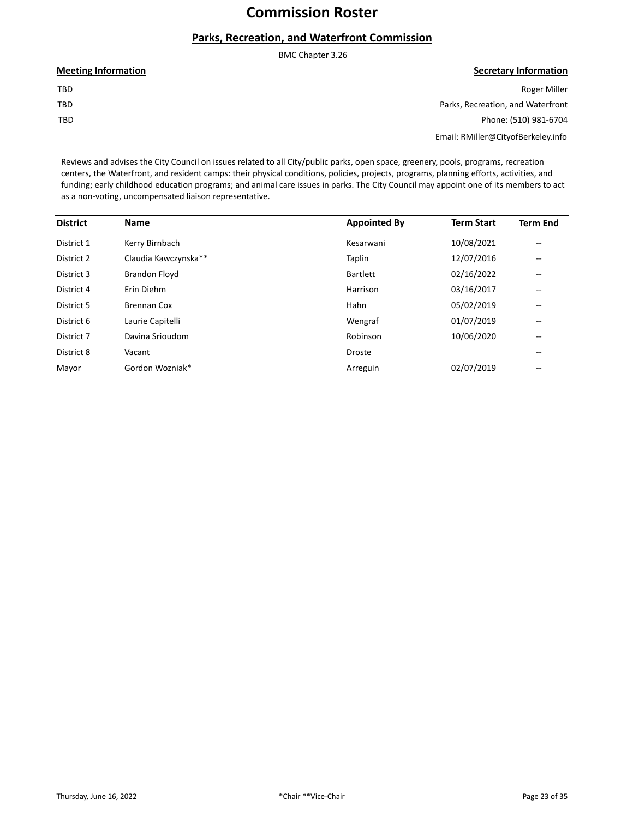## **Parks, Recreation, and Waterfront Commission**

|                            | BMC Chapter 3.26                   |
|----------------------------|------------------------------------|
| <b>Meeting Information</b> | <b>Secretary Information</b>       |
| TBD                        | <b>Roger Miller</b>                |
| TBD                        | Parks, Recreation, and Waterfront  |
| TBD                        | Phone: (510) 981-6704              |
|                            | Email: RMiller@CityofBerkeley.info |

Reviews and advises the City Council on issues related to all City/public parks, open space, greenery, pools, programs, recreation centers, the Waterfront, and resident camps: their physical conditions, policies, projects, programs, planning efforts, activities, and funding; early childhood education programs; and animal care issues in parks. The City Council may appoint one of its members to act as a non-voting, uncompensated liaison representative.

| <b>District</b> | <b>Name</b>          | <b>Appointed By</b> | <b>Term Start</b> | <b>Term End</b>          |
|-----------------|----------------------|---------------------|-------------------|--------------------------|
| District 1      | Kerry Birnbach       | Kesarwani           | 10/08/2021        | $\overline{\phantom{m}}$ |
| District 2      | Claudia Kawczynska** | Taplin              | 12/07/2016        | $\overline{\phantom{m}}$ |
| District 3      | <b>Brandon Floyd</b> | Bartlett            | 02/16/2022        | $\overline{\phantom{m}}$ |
| District 4      | Erin Diehm           | Harrison            | 03/16/2017        | $\overline{\phantom{m}}$ |
| District 5      | <b>Brennan Cox</b>   | Hahn                | 05/02/2019        | --                       |
| District 6      | Laurie Capitelli     | Wengraf             | 01/07/2019        | $- -$                    |
| District 7      | Davina Srioudom      | Robinson            | 10/06/2020        | $\qquad \qquad -$        |
| District 8      | Vacant               | <b>Droste</b>       |                   | $\overline{\phantom{m}}$ |
| Mayor           | Gordon Wozniak*      | Arreguin            | 02/07/2019        | $\qquad \qquad -$        |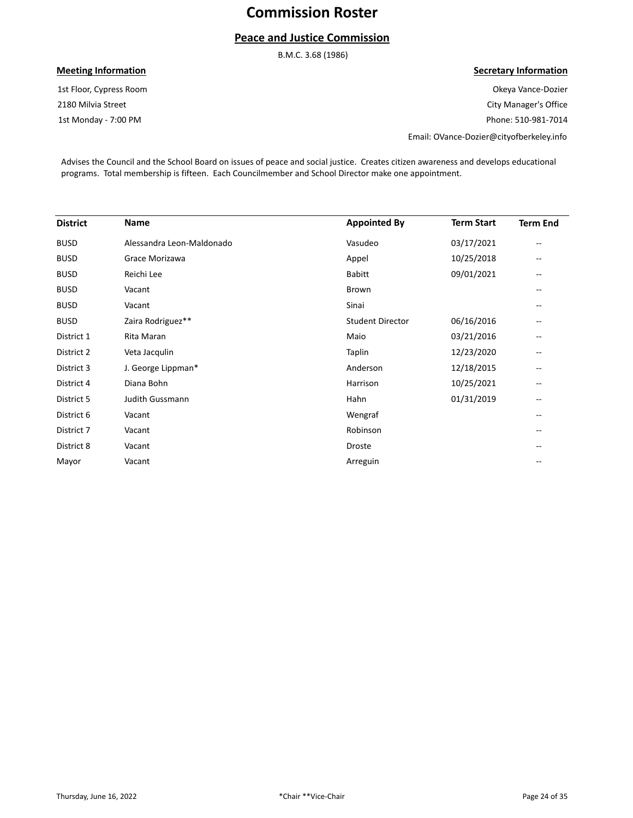## **Peace and Justice Commission**

B.M.C. 3.68 (1986)

### **Meeting Information**

1st Monday - 7:00 PM 2180 Milvia Street 1st Floor, Cypress Room

#### **Secretary Information**

Okeya Vance-Dozier City Manager's Office Phone: 510-981-7014

Email: OVance-Dozier@cityofberkeley.info

Advises the Council and the School Board on issues of peace and social justice. Creates citizen awareness and develops educational programs. Total membership is fifteen. Each Councilmember and School Director make one appointment.

| <b>District</b> | <b>Name</b>               | <b>Appointed By</b>     | <b>Term Start</b> | <b>Term End</b>          |
|-----------------|---------------------------|-------------------------|-------------------|--------------------------|
| <b>BUSD</b>     | Alessandra Leon-Maldonado | Vasudeo                 | 03/17/2021        | $\overline{\phantom{m}}$ |
| <b>BUSD</b>     | Grace Morizawa            | Appel                   | 10/25/2018        | $- -$                    |
| <b>BUSD</b>     | Reichi Lee                | <b>Babitt</b>           | 09/01/2021        |                          |
| <b>BUSD</b>     | Vacant                    | Brown                   |                   | $- -$                    |
| <b>BUSD</b>     | Vacant                    | Sinai                   |                   |                          |
| <b>BUSD</b>     | Zaira Rodriguez**         | <b>Student Director</b> | 06/16/2016        |                          |
| District 1      | Rita Maran                | Maio                    | 03/21/2016        | --                       |
| District 2      | Veta Jacqulin             | Taplin                  | 12/23/2020        | --                       |
| District 3      | J. George Lippman*        | Anderson                | 12/18/2015        | --                       |
| District 4      | Diana Bohn                | Harrison                | 10/25/2021        | $- -$                    |
| District 5      | Judith Gussmann           | Hahn                    | 01/31/2019        | $\qquad \qquad -$        |
| District 6      | Vacant                    | Wengraf                 |                   |                          |
| District 7      | Vacant                    | Robinson                |                   |                          |
| District 8      | Vacant                    | Droste                  |                   |                          |
| Mayor           | Vacant                    | Arreguin                |                   |                          |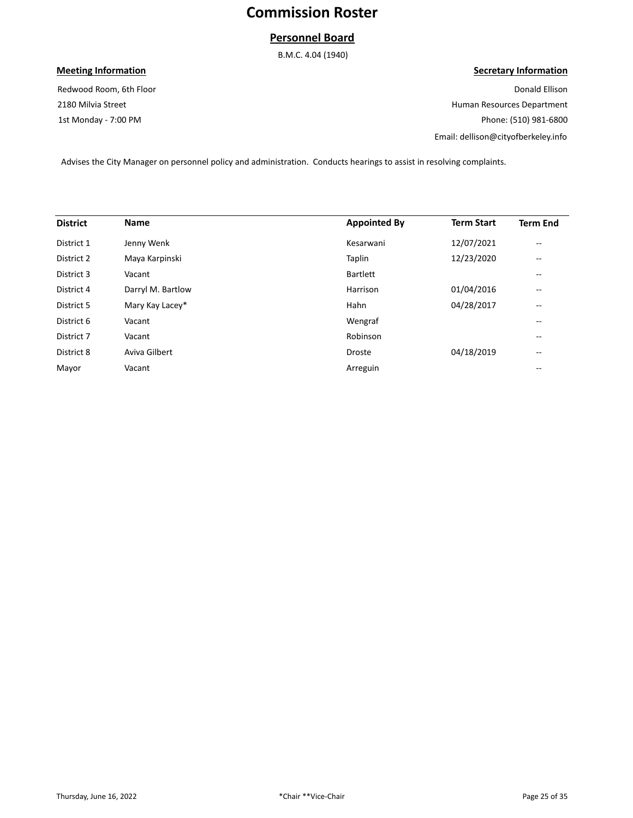### **Personnel Board**

B.M.C. 4.04 (1940)

### **Meeting Information**

1st Monday - 7:00 PM 2180 Milvia Street Redwood Room, 6th Floor

### **Secretary Information**

Donald Ellison Human Resources Department Phone: (510) 981-6800 Email: dellison@cityofberkeley.info

Advises the City Manager on personnel policy and administration. Conducts hearings to assist in resolving complaints.

| <b>District</b> | <b>Name</b>       | <b>Appointed By</b> | <b>Term Start</b> | <b>Term End</b>          |
|-----------------|-------------------|---------------------|-------------------|--------------------------|
| District 1      | Jenny Wenk        | Kesarwani           | 12/07/2021        | $\overline{\phantom{m}}$ |
| District 2      | Maya Karpinski    | Taplin              | 12/23/2020        | $\overline{\phantom{m}}$ |
| District 3      | Vacant            | <b>Bartlett</b>     |                   | --                       |
| District 4      | Darryl M. Bartlow | Harrison            | 01/04/2016        | $- -$                    |
| District 5      | Mary Kay Lacey*   | Hahn                | 04/28/2017        | $- -$                    |
| District 6      | Vacant            | Wengraf             |                   | --                       |
| District 7      | Vacant            | Robinson            |                   | --                       |
| District 8      | Aviva Gilbert     | <b>Droste</b>       | 04/18/2019        | $\overline{\phantom{m}}$ |
| Mayor           | Vacant            | Arreguin            |                   | --                       |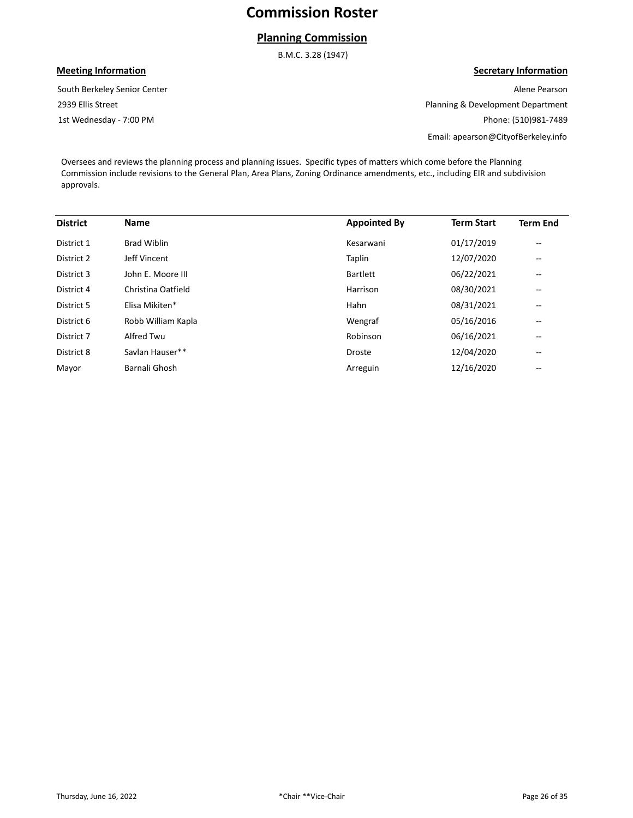## **Planning Commission**

B.M.C. 3.28 (1947)

### **Meeting Information**

1st Wednesday - 7:00 PM 2939 Ellis Street South Berkeley Senior Center

## **Secretary Information**

Alene Pearson Planning & Development Department Phone: (510)981-7489 Email: apearson@CityofBerkeley.info

Oversees and reviews the planning process and planning issues. Specific types of matters which come before the Planning Commission include revisions to the General Plan, Area Plans, Zoning Ordinance amendments, etc., including EIR and subdivision approvals.

| <b>District</b> | <b>Name</b>        | <b>Appointed By</b> | <b>Term Start</b> | <b>Term End</b>          |
|-----------------|--------------------|---------------------|-------------------|--------------------------|
| District 1      | <b>Brad Wiblin</b> | Kesarwani           | 01/17/2019        | $-$                      |
| District 2      | Jeff Vincent       | Taplin              | 12/07/2020        | $- -$                    |
| District 3      | John E. Moore III  | Bartlett            | 06/22/2021        | $\overline{\phantom{m}}$ |
| District 4      | Christina Oatfield | Harrison            | 08/30/2021        | $\overline{\phantom{m}}$ |
| District 5      | Elisa Mikiten*     | Hahn                | 08/31/2021        | $\overline{\phantom{m}}$ |
| District 6      | Robb William Kapla | Wengraf             | 05/16/2016        | $\qquad \qquad -$        |
| District 7      | Alfred Twu         | Robinson            | 06/16/2021        | $\overline{\phantom{m}}$ |
| District 8      | Savlan Hauser**    | <b>Droste</b>       | 12/04/2020        | --                       |
| Mayor           | Barnali Ghosh      | Arreguin            | 12/16/2020        | --                       |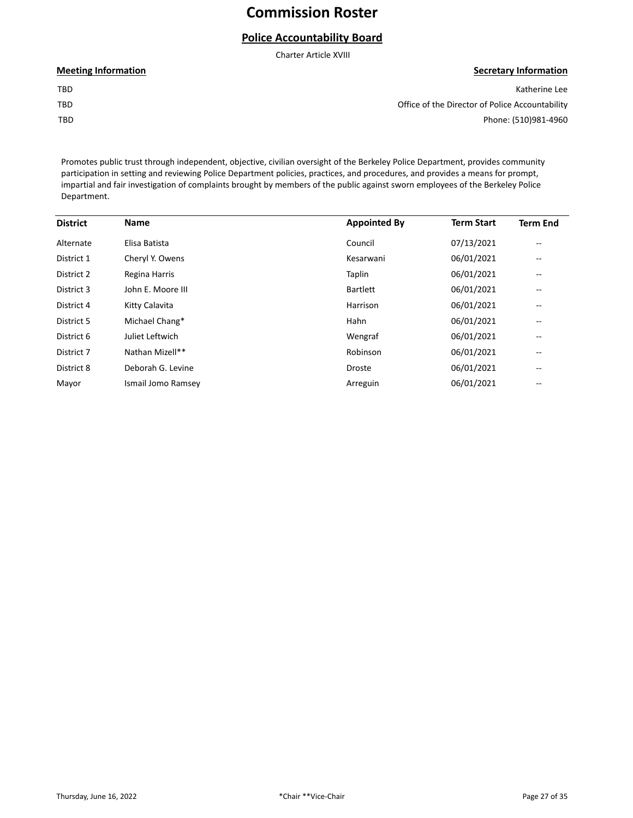## **Police Accountability Board**

Charter Article XVIII

#### **Meeting Information**

TBD TBD

TBD

**Secretary Information** Katherine Lee Office of the Director of Police Accountability

Phone: (510)981-4960

Promotes public trust through independent, objective, civilian oversight of the Berkeley Police Department, provides community participation in setting and reviewing Police Department policies, practices, and procedures, and provides a means for prompt, impartial and fair investigation of complaints brought by members of the public against sworn employees of the Berkeley Police Department.

| <b>District</b> | <b>Name</b>        | <b>Appointed By</b> | <b>Term Start</b> | <b>Term End</b>          |
|-----------------|--------------------|---------------------|-------------------|--------------------------|
| Alternate       | Elisa Batista      | Council             | 07/13/2021        | $\overline{\phantom{a}}$ |
| District 1      | Cheryl Y. Owens    | Kesarwani           | 06/01/2021        | --                       |
| District 2      | Regina Harris      | Taplin              | 06/01/2021        | $- -$                    |
| District 3      | John E. Moore III  | <b>Bartlett</b>     | 06/01/2021        | --                       |
| District 4      | Kitty Calavita     | Harrison            | 06/01/2021        | --                       |
| District 5      | Michael Chang*     | Hahn                | 06/01/2021        | --                       |
| District 6      | Juliet Leftwich    | Wengraf             | 06/01/2021        | $- -$                    |
| District 7      | Nathan Mizell**    | Robinson            | 06/01/2021        | --                       |
| District 8      | Deborah G. Levine  | <b>Droste</b>       | 06/01/2021        | --                       |
| Mayor           | Ismail Jomo Ramsey | Arreguin            | 06/01/2021        | --                       |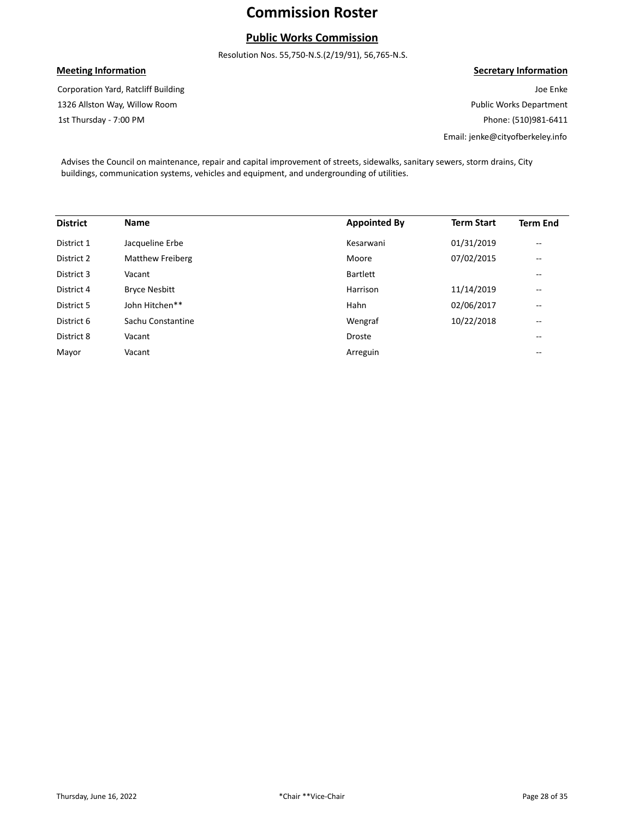## **Public Works Commission**

Resolution Nos. 55,750-N.S.(2/19/91), 56,765-N.S.

### **Meeting Information**

1st Thursday - 7:00 PM 1326 Allston Way, Willow Room Corporation Yard, Ratcliff Building

#### **Secretary Information**

Joe Enke Public Works Department Phone: (510)981-6411 Email: jenke@cityofberkeley.info

Advises the Council on maintenance, repair and capital improvement of streets, sidewalks, sanitary sewers, storm drains, City buildings, communication systems, vehicles and equipment, and undergrounding of utilities.

| <b>District</b> | <b>Name</b>          | <b>Appointed By</b> | <b>Term Start</b> | <b>Term End</b>          |
|-----------------|----------------------|---------------------|-------------------|--------------------------|
| District 1      | Jacqueline Erbe      | Kesarwani           | 01/31/2019        | $\overline{\phantom{m}}$ |
| District 2      | Matthew Freiberg     | Moore               | 07/02/2015        | $\overline{\phantom{m}}$ |
| District 3      | Vacant               | <b>Bartlett</b>     |                   | $-$                      |
| District 4      | <b>Bryce Nesbitt</b> | Harrison            | 11/14/2019        | $\overline{\phantom{m}}$ |
| District 5      | John Hitchen**       | Hahn                | 02/06/2017        | $\overline{\phantom{m}}$ |
| District 6      | Sachu Constantine    | Wengraf             | 10/22/2018        | $\overline{\phantom{m}}$ |
| District 8      | Vacant               | <b>Droste</b>       |                   | $\qquad \qquad -$        |
| Mayor           | Vacant               | Arreguin            |                   | $\qquad \qquad -$        |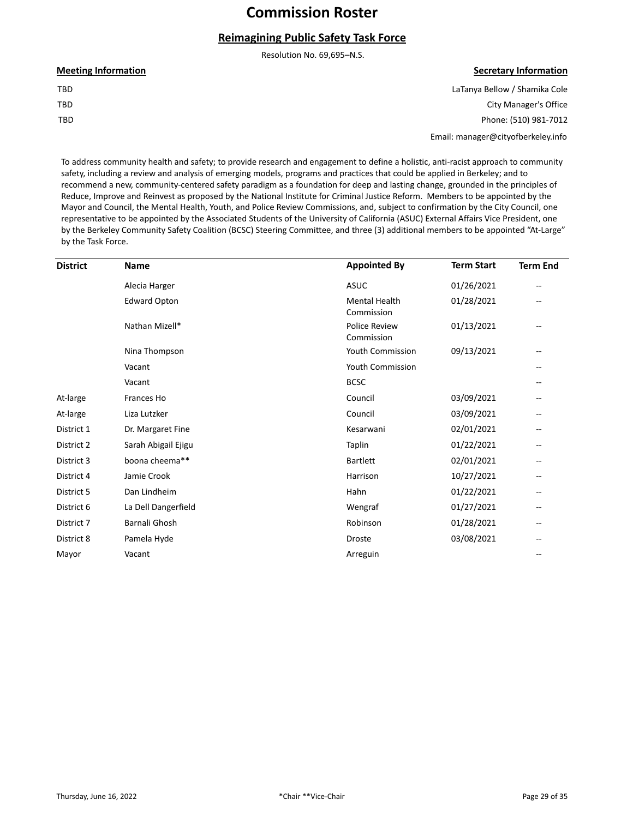## **Reimagining Public Safety Task Force**

Resolution No. 69,695–N.S.

| <b>Meeting Information</b> |  |
|----------------------------|--|
| TBD                        |  |
| TBD                        |  |
| TBD                        |  |

#### **Secretary Information**

LaTanya Bellow / Shamika Cole City Manager's Office Phone: (510) 981-7012

Email: manager@cityofberkeley.info

To address community health and safety; to provide research and engagement to define a holistic, anti-racist approach to community safety, including a review and analysis of emerging models, programs and practices that could be applied in Berkeley; and to recommend a new, community-centered safety paradigm as a foundation for deep and lasting change, grounded in the principles of Reduce, Improve and Reinvest as proposed by the National Institute for Criminal Justice Reform. Members to be appointed by the Mayor and Council, the Mental Health, Youth, and Police Review Commissions, and, subject to confirmation by the City Council, one representative to be appointed by the Associated Students of the University of California (ASUC) External Affairs Vice President, one by the Berkeley Community Safety Coalition (BCSC) Steering Committee, and three (3) additional members to be appointed "At-Large" by the Task Force.

| <b>District</b> | <b>Name</b>         | <b>Appointed By</b>                | <b>Term Start</b> | <b>Term End</b> |
|-----------------|---------------------|------------------------------------|-------------------|-----------------|
|                 | Alecia Harger       | <b>ASUC</b>                        | 01/26/2021        |                 |
|                 | <b>Edward Opton</b> | <b>Mental Health</b><br>Commission | 01/28/2021        |                 |
|                 | Nathan Mizell*      | <b>Police Review</b><br>Commission | 01/13/2021        |                 |
|                 | Nina Thompson       | <b>Youth Commission</b>            | 09/13/2021        |                 |
|                 | Vacant              | Youth Commission                   |                   |                 |
|                 | Vacant              | <b>BCSC</b>                        |                   |                 |
| At-large        | Frances Ho          | Council                            | 03/09/2021        |                 |
| At-large        | Liza Lutzker        | Council                            | 03/09/2021        |                 |
| District 1      | Dr. Margaret Fine   | Kesarwani                          | 02/01/2021        |                 |
| District 2      | Sarah Abigail Ejigu | Taplin                             | 01/22/2021        |                 |
| District 3      | boona cheema**      | <b>Bartlett</b>                    | 02/01/2021        |                 |
| District 4      | Jamie Crook         | Harrison                           | 10/27/2021        |                 |
| District 5      | Dan Lindheim        | Hahn                               | 01/22/2021        |                 |
| District 6      | La Dell Dangerfield | Wengraf                            | 01/27/2021        |                 |
| District 7      | Barnali Ghosh       | Robinson                           | 01/28/2021        |                 |
| District 8      | Pamela Hyde         | Droste                             | 03/08/2021        |                 |
| Mayor           | Vacant              | Arreguin                           |                   |                 |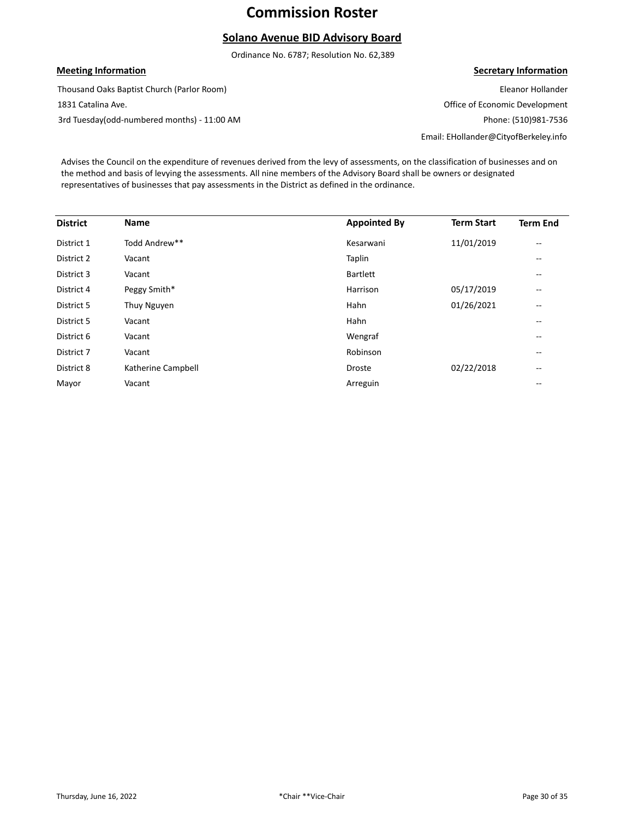## **Solano Avenue BID Advisory Board**

Ordinance No. 6787; Resolution No. 62,389

#### **Meeting Information**

Thousand Oaks Baptist Church (Parlor Room)

1831 Catalina Ave.

3rd Tuesday(odd-numbered months) - 11:00 AM

#### **Secretary Information**

Eleanor Hollander Office of Economic Development Phone: (510)981-7536 Email: EHollander@CityofBerkeley.info

Advises the Council on the expenditure of revenues derived from the levy of assessments, on the classification of businesses and on the method and basis of levying the assessments. All nine members of the Advisory Board shall be owners or designated representatives of businesses that pay assessments in the District as defined in the ordinance.

| <b>District</b> | Name               | <b>Appointed By</b> | <b>Term Start</b> | <b>Term End</b>          |
|-----------------|--------------------|---------------------|-------------------|--------------------------|
| District 1      | Todd Andrew**      | Kesarwani           | 11/01/2019        | $\qquad \qquad -$        |
| District 2      | Vacant             | Taplin              |                   | $- -$                    |
| District 3      | Vacant             | <b>Bartlett</b>     |                   | $- -$                    |
| District 4      | Peggy Smith*       | Harrison            | 05/17/2019        | $- -$                    |
| District 5      | Thuy Nguyen        | Hahn                | 01/26/2021        | $\qquad \qquad -$        |
| District 5      | Vacant             | Hahn                |                   | $- -$                    |
| District 6      | Vacant             | Wengraf             |                   | $\qquad \qquad -$        |
| District 7      | Vacant             | Robinson            |                   | $\qquad \qquad -$        |
| District 8      | Katherine Campbell | <b>Droste</b>       | 02/22/2018        | $\overline{\phantom{m}}$ |
| Mayor           | Vacant             | Arreguin            |                   | $- -$                    |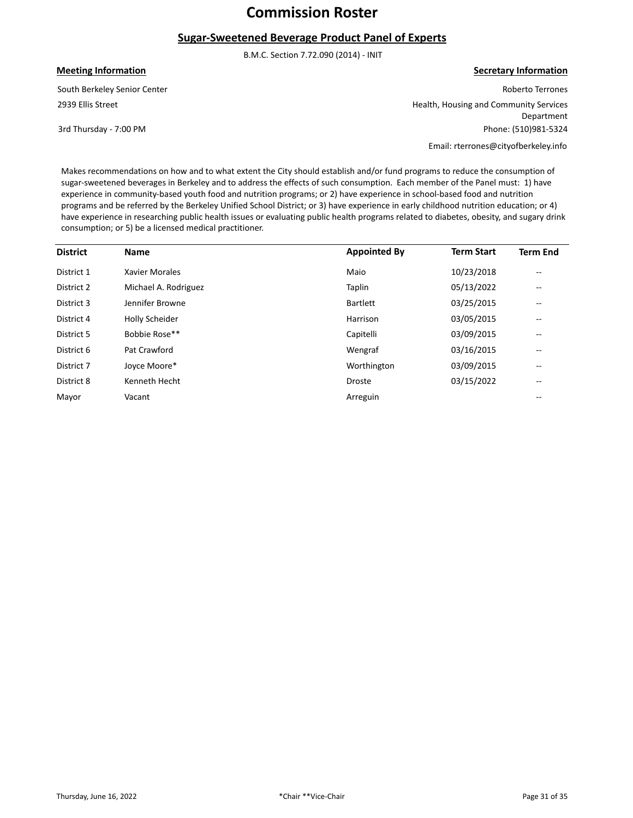#### **Sugar-Sweetened Beverage Product Panel of Experts**

B.M.C. Section 7.72.090 (2014) - INIT

**Meeting Information**

2939 Ellis Street South Berkeley Senior Center

3rd Thursday - 7:00 PM

**Secretary Information**

Roberto Terrones Health, Housing and Community Services Department Phone: (510)981-5324 Email: rterrones@cityofberkeley.info

Makes recommendations on how and to what extent the City should establish and/or fund programs to reduce the consumption of sugar-sweetened beverages in Berkeley and to address the effects of such consumption. Each member of the Panel must: 1) have experience in community-based youth food and nutrition programs; or 2) have experience in school-based food and nutrition programs and be referred by the Berkeley Unified School District; or 3) have experience in early childhood nutrition education; or 4) have experience in researching public health issues or evaluating public health programs related to diabetes, obesity, and sugary drink consumption; or 5) be a licensed medical practitioner.

| <b>District</b> | <b>Name</b>          | <b>Appointed By</b> | <b>Term Start</b> | <b>Term End</b>   |
|-----------------|----------------------|---------------------|-------------------|-------------------|
| District 1      | Xavier Morales       | Maio                | 10/23/2018        | $- -$             |
| District 2      | Michael A. Rodriguez | Taplin              | 05/13/2022        | $- -$             |
| District 3      | Jennifer Browne      | <b>Bartlett</b>     | 03/25/2015        | $\qquad \qquad -$ |
| District 4      | Holly Scheider       | Harrison            | 03/05/2015        | $\qquad \qquad -$ |
| District 5      | Bobbie Rose**        | Capitelli           | 03/09/2015        | $\qquad \qquad -$ |
| District 6      | Pat Crawford         | Wengraf             | 03/16/2015        | $- -$             |
| District 7      | Joyce Moore*         | Worthington         | 03/09/2015        | $- -$             |
| District 8      | Kenneth Hecht        | <b>Droste</b>       | 03/15/2022        | $\qquad \qquad -$ |
| Mayor           | Vacant               | Arreguin            |                   | $- -$             |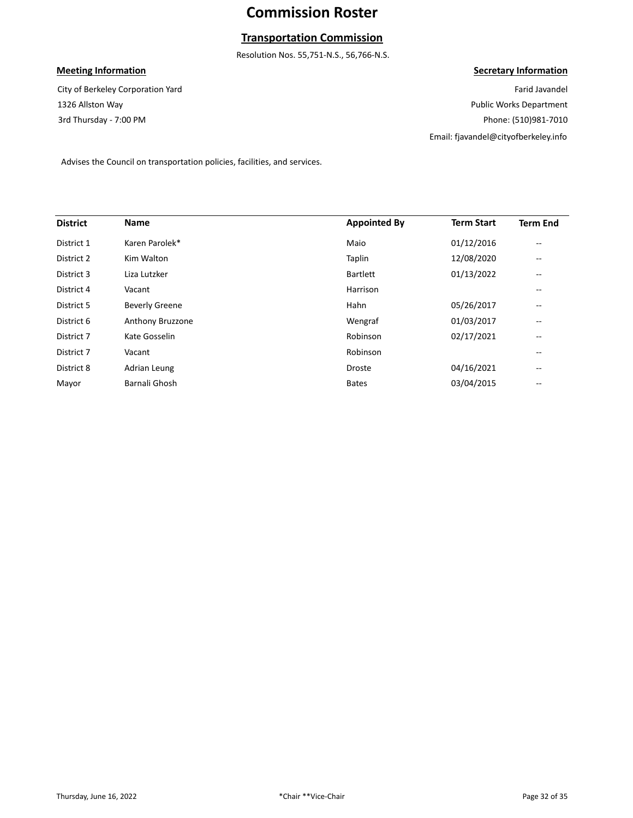## **Transportation Commission**

Resolution Nos. 55,751-N.S., 56,766-N.S.

### **Meeting Information**

3rd Thursday - 7:00 PM 1326 Allston Way City of Berkeley Corporation Yard **Secretary Information**

Farid Javandel Public Works Department Phone: (510)981-7010 Email: fjavandel@cityofberkeley.info

Advises the Council on transportation policies, facilities, and services.

| <b>District</b> | <b>Name</b>           | <b>Appointed By</b> | <b>Term Start</b> | <b>Term End</b> |
|-----------------|-----------------------|---------------------|-------------------|-----------------|
| District 1      | Karen Parolek*        | Maio                | 01/12/2016        | --              |
| District 2      | Kim Walton            | Taplin              | 12/08/2020        | $-$             |
| District 3      | Liza Lutzker          | <b>Bartlett</b>     | 01/13/2022        | --              |
| District 4      | Vacant                | Harrison            |                   | --              |
| District 5      | <b>Beverly Greene</b> | Hahn                | 05/26/2017        | --              |
| District 6      | Anthony Bruzzone      | Wengraf             | 01/03/2017        | --              |
| District 7      | Kate Gosselin         | Robinson            | 02/17/2021        | --              |
| District 7      | Vacant                | Robinson            |                   | --              |
| District 8      | Adrian Leung          | <b>Droste</b>       | 04/16/2021        | $-$             |
| Mayor           | Barnali Ghosh         | <b>Bates</b>        | 03/04/2015        | --              |
|                 |                       |                     |                   |                 |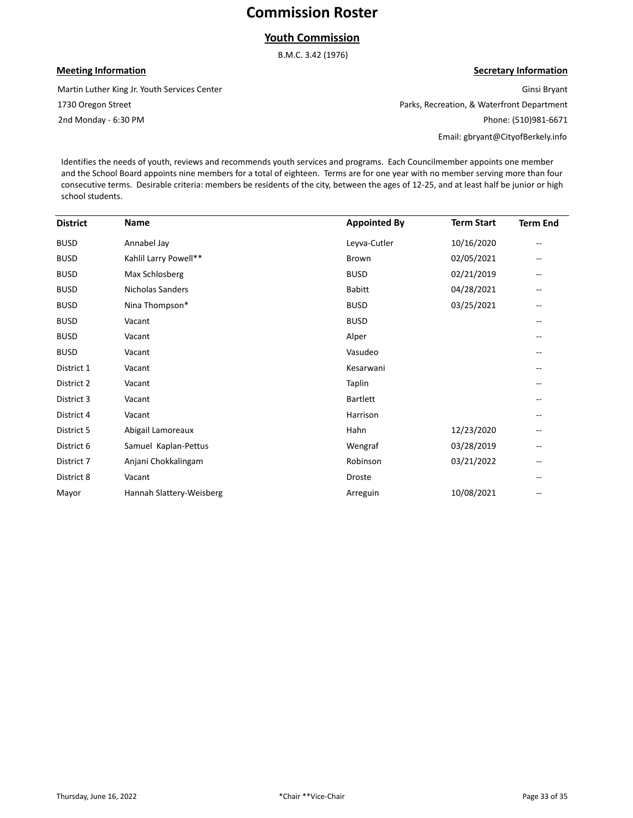### **Youth Commission**

B.M.C. 3.42 (1976)

#### **Meeting Information**

Martin Luther King Jr. Youth Services Center

1730 Oregon Street

2nd Monday - 6:30 PM

## **Secretary Information**

Ginsi Bryant Parks, Recreation, & Waterfront Department Phone: (510)981-6671

Email: gbryant@CityofBerkely.info

Identifies the needs of youth, reviews and recommends youth services and programs. Each Councilmember appoints one member and the School Board appoints nine members for a total of eighteen. Terms are for one year with no member serving more than four consecutive terms. Desirable criteria: members be residents of the city, between the ages of 12-25, and at least half be junior or high school students.

| <b>District</b> | Name                     | <b>Appointed By</b> | <b>Term Start</b> | <b>Term End</b>          |
|-----------------|--------------------------|---------------------|-------------------|--------------------------|
| <b>BUSD</b>     | Annabel Jay              | Leyva-Cutler        | 10/16/2020        | $\overline{\phantom{m}}$ |
| <b>BUSD</b>     | Kahlil Larry Powell**    | <b>Brown</b>        | 02/05/2021        | $\overline{\phantom{m}}$ |
| <b>BUSD</b>     | Max Schlosberg           | <b>BUSD</b>         | 02/21/2019        | $\overline{\phantom{m}}$ |
| <b>BUSD</b>     | Nicholas Sanders         | <b>Babitt</b>       | 04/28/2021        | $\overline{\phantom{m}}$ |
| <b>BUSD</b>     | Nina Thompson*           | <b>BUSD</b>         | 03/25/2021        | $\overline{\phantom{m}}$ |
| <b>BUSD</b>     | Vacant                   | <b>BUSD</b>         |                   | $\overline{\phantom{m}}$ |
| <b>BUSD</b>     | Vacant                   | Alper               |                   | $\overline{\phantom{m}}$ |
| <b>BUSD</b>     | Vacant                   | Vasudeo             |                   | $\overline{\phantom{m}}$ |
| District 1      | Vacant                   | Kesarwani           |                   | --                       |
| District 2      | Vacant                   | Taplin              |                   | --                       |
| District 3      | Vacant                   | <b>Bartlett</b>     |                   | --                       |
| District 4      | Vacant                   | Harrison            |                   | --                       |
| District 5      | Abigail Lamoreaux        | Hahn                | 12/23/2020        | --                       |
| District 6      | Samuel Kaplan-Pettus     | Wengraf             | 03/28/2019        | --                       |
| District 7      | Anjani Chokkalingam      | Robinson            | 03/21/2022        | --                       |
| District 8      | Vacant                   | Droste              |                   | $-$                      |
| Mayor           | Hannah Slattery-Weisberg | Arreguin            | 10/08/2021        | $-$                      |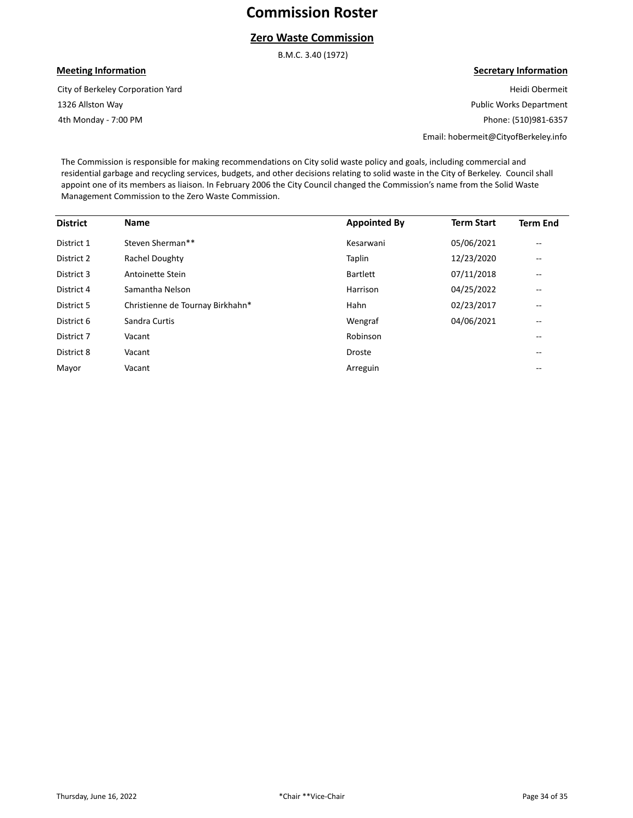### **Zero Waste Commission**

B.M.C. 3.40 (1972)

#### **Meeting Information**

4th Monday - 7:00 PM 1326 Allston Way City of Berkeley Corporation Yard

#### **Secretary Information**

Heidi Obermeit Public Works Department Phone: (510)981-6357

Email: hobermeit@CityofBerkeley.info

The Commission is responsible for making recommendations on City solid waste policy and goals, including commercial and residential garbage and recycling services, budgets, and other decisions relating to solid waste in the City of Berkeley. Council shall appoint one of its members as liaison. In February 2006 the City Council changed the Commission's name from the Solid Waste Management Commission to the Zero Waste Commission.

| <b>District</b> | <b>Name</b>                      | <b>Appointed By</b> | <b>Term Start</b> | <b>Term End</b>   |
|-----------------|----------------------------------|---------------------|-------------------|-------------------|
| District 1      | Steven Sherman**                 | Kesarwani           | 05/06/2021        | $\qquad \qquad -$ |
| District 2      | Rachel Doughty                   | Taplin              | 12/23/2020        | --                |
| District 3      | Antoinette Stein                 | <b>Bartlett</b>     | 07/11/2018        | --                |
| District 4      | Samantha Nelson                  | Harrison            | 04/25/2022        | --                |
| District 5      | Christienne de Tournay Birkhahn* | Hahn                | 02/23/2017        | --                |
| District 6      | Sandra Curtis                    | Wengraf             | 04/06/2021        | $\qquad \qquad -$ |
| District 7      | Vacant                           | Robinson            |                   | $- -$             |
| District 8      | Vacant                           | <b>Droste</b>       |                   | --                |
| Mayor           | Vacant                           | Arreguin            |                   | $- -$             |